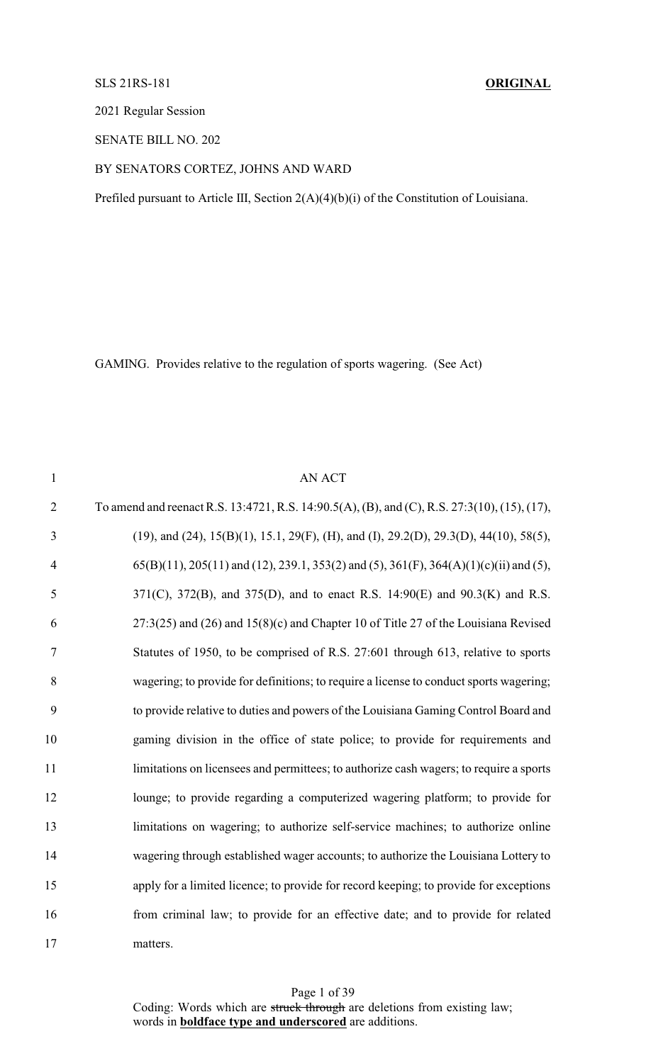## SLS 21RS-181 **ORIGINAL**

2021 Regular Session

SENATE BILL NO. 202

### BY SENATORS CORTEZ, JOHNS AND WARD

Prefiled pursuant to Article III, Section 2(A)(4)(b)(i) of the Constitution of Louisiana.

GAMING. Provides relative to the regulation of sports wagering. (See Act)

1 AN ACT To amend and reenact R.S. 13:4721, R.S. 14:90.5(A), (B), and (C), R.S. 27:3(10), (15), (17), (19), and (24), 15(B)(1), 15.1, 29(F), (H), and (I), 29.2(D), 29.3(D), 44(10), 58(5), 65(B)(11), 205(11) and (12), 239.1, 353(2) and (5), 361(F), 364(A)(1)(c)(ii) and (5), 371(C), 372(B), and 375(D), and to enact R.S. 14:90(E) and 90.3(K) and R.S. 27:3(25) and (26) and 15(8)(c) and Chapter 10 of Title 27 of the Louisiana Revised Statutes of 1950, to be comprised of R.S. 27:601 through 613, relative to sports wagering; to provide for definitions; to require a license to conduct sports wagering; to provide relative to duties and powers of the Louisiana Gaming Control Board and gaming division in the office of state police; to provide for requirements and 11 limitations on licensees and permittees; to authorize cash wagers; to require a sports lounge; to provide regarding a computerized wagering platform; to provide for limitations on wagering; to authorize self-service machines; to authorize online wagering through established wager accounts; to authorize the Louisiana Lottery to apply for a limited licence; to provide for record keeping; to provide for exceptions from criminal law; to provide for an effective date; and to provide for related 17 matters.

> Page 1 of 39 Coding: Words which are struck through are deletions from existing law; words in **boldface type and underscored** are additions.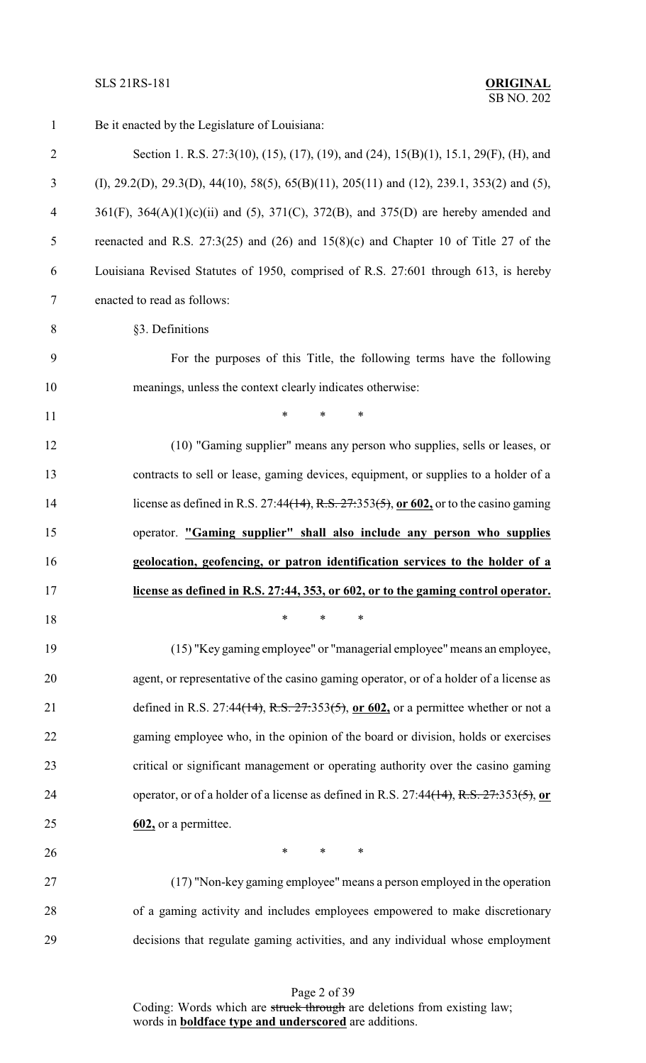# **SLS 21RS-181**

| $\mathbf{1}$   | Be it enacted by the Legislature of Louisiana:                                                                  |
|----------------|-----------------------------------------------------------------------------------------------------------------|
| $\mathfrak{2}$ | Section 1. R.S. 27:3(10), (15), (17), (19), and (24), 15(B)(1), 15.1, 29(F), (H), and                           |
| 3              | (I), 29.2(D), 29.3(D), 44(10), 58(5), 65(B)(11), 205(11) and (12), 239.1, 353(2) and (5),                       |
| $\overline{4}$ | $361(F)$ , $364(A)(1)(c)(ii)$ and (5), $371(C)$ , $372(B)$ , and $375(D)$ are hereby amended and                |
| 5              | reenacted and R.S. 27:3(25) and (26) and $15(8)(c)$ and Chapter 10 of Title 27 of the                           |
| 6              | Louisiana Revised Statutes of 1950, comprised of R.S. 27:601 through 613, is hereby                             |
| 7              | enacted to read as follows:                                                                                     |
| 8              | §3. Definitions                                                                                                 |
| 9              | For the purposes of this Title, the following terms have the following                                          |
| 10             | meanings, unless the context clearly indicates otherwise:                                                       |
| 11             | *<br>$\ast$<br>$\ast$                                                                                           |
| 12             | (10) "Gaming supplier" means any person who supplies, sells or leases, or                                       |
| 13             | contracts to sell or lease, gaming devices, equipment, or supplies to a holder of a                             |
| 14             | license as defined in R.S. 27:44 <del>(14), R.S. 27:</del> 353 <del>(5)</del> , or 602, or to the casino gaming |
| 15             | operator. "Gaming supplier" shall also include any person who supplies                                          |
| 16             | geolocation, geofencing, or patron identification services to the holder of a                                   |
| 17             | license as defined in R.S. 27:44, 353, or 602, or to the gaming control operator.                               |
| 18             | $\ast$<br>$\ast$<br>*                                                                                           |
| 19             | (15) "Key gaming employee" or "managerial employee" means an employee,                                          |
| 20             | agent, or representative of the casino gaming operator, or of a holder of a license as                          |
| 21             | defined in R.S. 27:44(14), R.S. $27:353(5)$ , or 602, or a permittee whether or not a                           |
| 22             | gaming employee who, in the opinion of the board or division, holds or exercises                                |
| 23             | critical or significant management or operating authority over the casino gaming                                |
| 24             | operator, or of a holder of a license as defined in R.S. 27:44 <del>(14)</del> , R.S. 27:353(5), or             |
| 25             | $602$ , or a permittee.                                                                                         |
| 26             | $\ast$<br>$\ast$<br>∗                                                                                           |
| 27             | (17) "Non-key gaming employee" means a person employed in the operation                                         |
| 28             | of a gaming activity and includes employees empowered to make discretionary                                     |
| 29             | decisions that regulate gaming activities, and any individual whose employment                                  |

Page 2 of 39 Coding: Words which are struck through are deletions from existing law; words in **boldface type and underscored** are additions.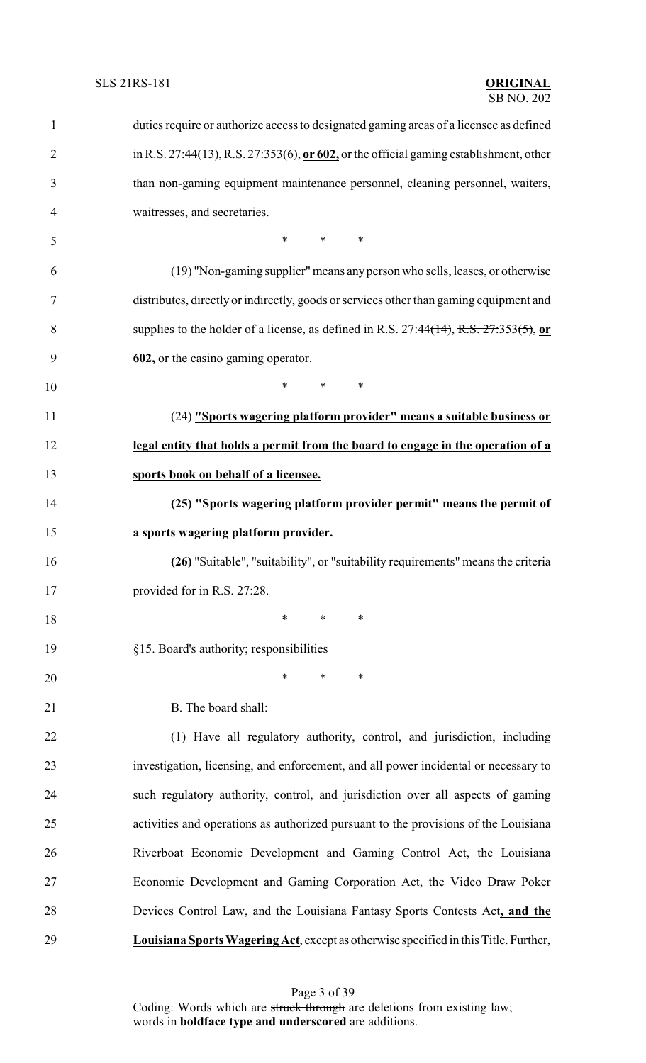| $\mathbf{1}$   | duties require or authorize access to designated gaming areas of a licensee as defined       |
|----------------|----------------------------------------------------------------------------------------------|
| $\overline{2}$ | in R.S. 27:44(13), R.S. $27:353(6)$ , or $602$ , or the official gaming establishment, other |
| 3              | than non-gaming equipment maintenance personnel, cleaning personnel, waiters,                |
| 4              | waitresses, and secretaries.                                                                 |
| 5              | $*$ and $*$<br>$\ast$<br>$\ast$                                                              |
| 6              | (19) "Non-gaming supplier" means any person who sells, leases, or otherwise                  |
| 7              | distributes, directly or indirectly, goods or services other than gaming equipment and       |
| 8              | supplies to the holder of a license, as defined in R.S. 27:44(14), R.S. $27:353(5)$ , or     |
| 9              | 602, or the casino gaming operator.                                                          |
| 10             | $\ast$<br>$\ast$<br>$\ast$                                                                   |
| 11             | (24) "Sports wagering platform provider" means a suitable business or                        |
| 12             | legal entity that holds a permit from the board to engage in the operation of a              |
| 13             | sports book on behalf of a licensee.                                                         |
| 14             | (25) "Sports wagering platform provider permit" means the permit of                          |
| 15             | a sports wagering platform provider.                                                         |
| 16             | (26) "Suitable", "suitability", or "suitability requirements" means the criteria             |
| 17             | provided for in R.S. 27:28.                                                                  |
| 18             | $\ast$<br>$\ast$<br>∗                                                                        |
| 19             | §15. Board's authority; responsibilities                                                     |
| 20             | $\ast$<br>$\ast$<br>$\ast$                                                                   |
| 21             | B. The board shall:                                                                          |
| 22             | (1) Have all regulatory authority, control, and jurisdiction, including                      |
| 23             | investigation, licensing, and enforcement, and all power incidental or necessary to          |
| 24             | such regulatory authority, control, and jurisdiction over all aspects of gaming              |
| 25             | activities and operations as authorized pursuant to the provisions of the Louisiana          |
| 26             | Riverboat Economic Development and Gaming Control Act, the Louisiana                         |
| 27             | Economic Development and Gaming Corporation Act, the Video Draw Poker                        |
| 28             | Devices Control Law, and the Louisiana Fantasy Sports Contests Act, and the                  |
| 29             | Louisiana Sports Wagering Act, except as otherwise specified in this Title. Further,         |

Page 3 of 39 Coding: Words which are struck through are deletions from existing law; words in **boldface type and underscored** are additions.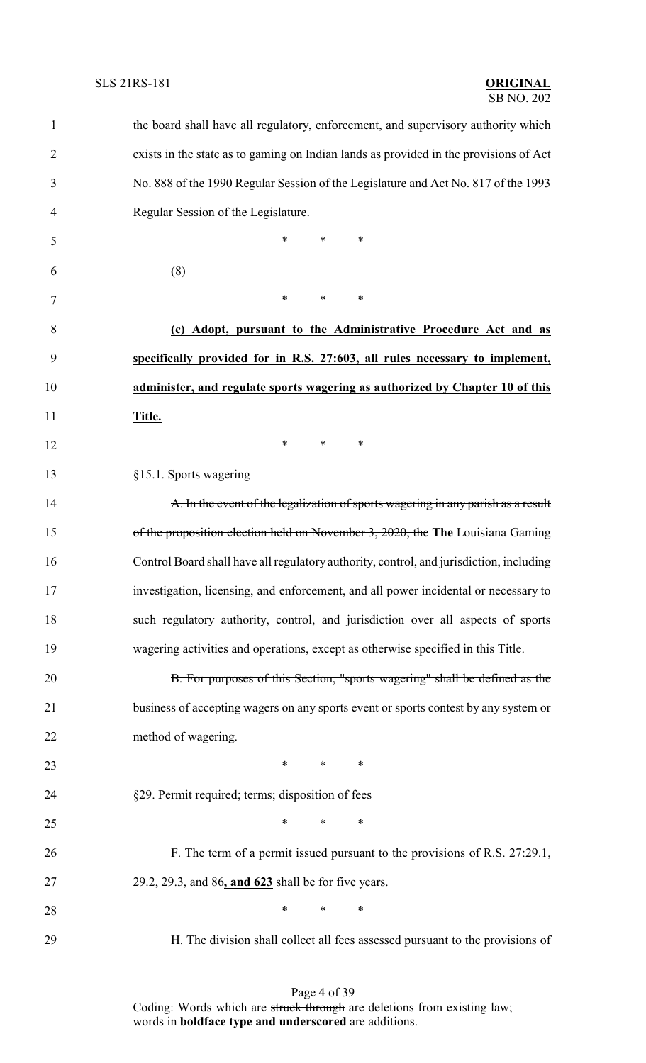| $\mathbf{1}$   | the board shall have all regulatory, enforcement, and supervisory authority which       |
|----------------|-----------------------------------------------------------------------------------------|
| $\overline{2}$ | exists in the state as to gaming on Indian lands as provided in the provisions of Act   |
| 3              | No. 888 of the 1990 Regular Session of the Legislature and Act No. 817 of the 1993      |
| $\overline{4}$ | Regular Session of the Legislature.                                                     |
| 5              | *<br>$\ast$<br>∗                                                                        |
| 6              | (8)                                                                                     |
| 7              | $\ast$<br>*<br>∗                                                                        |
| 8              | (c) Adopt, pursuant to the Administrative Procedure Act and as                          |
| 9              | specifically provided for in R.S. 27:603, all rules necessary to implement,             |
| 10             | administer, and regulate sports wagering as authorized by Chapter 10 of this            |
| 11             | Title.                                                                                  |
| 12             | $\ast$<br>$\ast$<br>$\ast$                                                              |
| 13             | §15.1. Sports wagering                                                                  |
| 14             | A. In the event of the legalization of sports wagering in any parish as a result        |
| 15             | of the proposition election held on November 3, 2020, the The Louisiana Gaming          |
| 16             | Control Board shall have all regulatory authority, control, and jurisdiction, including |
| 17             | investigation, licensing, and enforcement, and all power incidental or necessary to     |
| 18             | such regulatory authority, control, and jurisdiction over all aspects of sports         |
| 19             | wagering activities and operations, except as otherwise specified in this Title.        |
| 20             | B. For purposes of this Section, "sports wagering" shall be defined as the              |
| 21             | business of accepting wagers on any sports event or sports contest by any system or     |
| 22             | method of wagering.                                                                     |
| 23             | $*$ and $*$<br>$\ast$<br>∗                                                              |
| 24             | §29. Permit required; terms; disposition of fees                                        |
| 25             | $\ast$<br>$\ast$<br>$\ast$                                                              |
| 26             | F. The term of a permit issued pursuant to the provisions of R.S. 27:29.1,              |
| 27             | 29.2, 29.3, and 86, and 623 shall be for five years.                                    |
| 28             | $\ast$<br>$\ast$<br>∗                                                                   |
| 29             | H. The division shall collect all fees assessed pursuant to the provisions of           |

Page 4 of 39 Coding: Words which are struck through are deletions from existing law; words in **boldface type and underscored** are additions.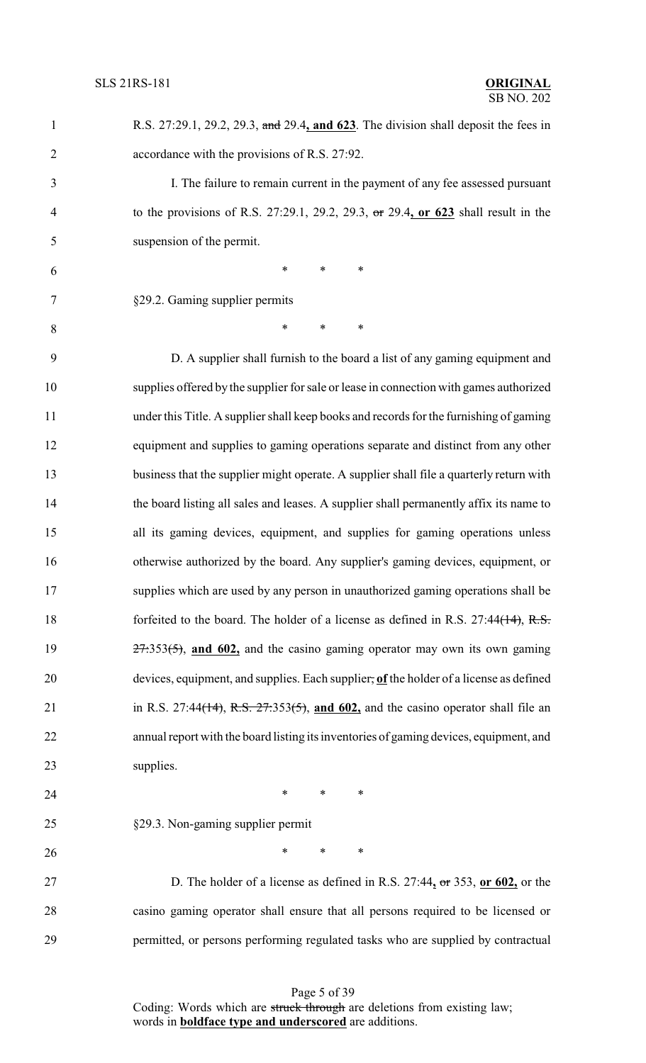| $\mathbf{1}$   | R.S. 27:29.1, 29.2, 29.3, and 29.4, and 623. The division shall deposit the fees in     |
|----------------|-----------------------------------------------------------------------------------------|
| $\overline{2}$ | accordance with the provisions of R.S. 27:92.                                           |
| 3              | I. The failure to remain current in the payment of any fee assessed pursuant            |
| 4              | to the provisions of R.S. 27:29.1, 29.2, 29.3, or 29.4, or 623 shall result in the      |
| 5              | suspension of the permit.                                                               |
| 6              | $\ast$<br>$\ast$<br>∗                                                                   |
| 7              | §29.2. Gaming supplier permits                                                          |
| 8              | $\ast$<br>$\ast$<br>∗                                                                   |
| 9              | D. A supplier shall furnish to the board a list of any gaming equipment and             |
| 10             | supplies offered by the supplier for sale or lease in connection with games authorized  |
| 11             | under this Title. A supplier shall keep books and records for the furnishing of gaming  |
| 12             | equipment and supplies to gaming operations separate and distinct from any other        |
| 13             | business that the supplier might operate. A supplier shall file a quarterly return with |
| 14             | the board listing all sales and leases. A supplier shall permanently affix its name to  |
| 15             | all its gaming devices, equipment, and supplies for gaming operations unless            |
| 16             | otherwise authorized by the board. Any supplier's gaming devices, equipment, or         |
| 17             | supplies which are used by any person in unauthorized gaming operations shall be        |
| 18             | forfeited to the board. The holder of a license as defined in R.S. $27:44(14)$ , R.S.   |
| 19             | $27.353(5)$ , and 602, and the casino gaming operator may own its own gaming            |
| 20             | devices, equipment, and supplies. Each supplier, of the holder of a license as defined  |
| 21             | in R.S. 27:44(14), R.S. $27:353(5)$ , and 602, and the casino operator shall file an    |
| 22             | annual report with the board listing its inventories of gaming devices, equipment, and  |
| 23             | supplies.                                                                               |
| 24             | $\ast$<br>$\ast$<br>$\ast$                                                              |
| 25             | §29.3. Non-gaming supplier permit                                                       |
| 26             | $\ast$<br>$\ast$<br>$\ast$                                                              |
| 27             | D. The holder of a license as defined in R.S. $27:44$ , or $353$ , or $602$ , or the    |
| 28             | casino gaming operator shall ensure that all persons required to be licensed or         |
| 29             | permitted, or persons performing regulated tasks who are supplied by contractual        |
|                |                                                                                         |

Page 5 of 39 Coding: Words which are struck through are deletions from existing law; words in **boldface type and underscored** are additions.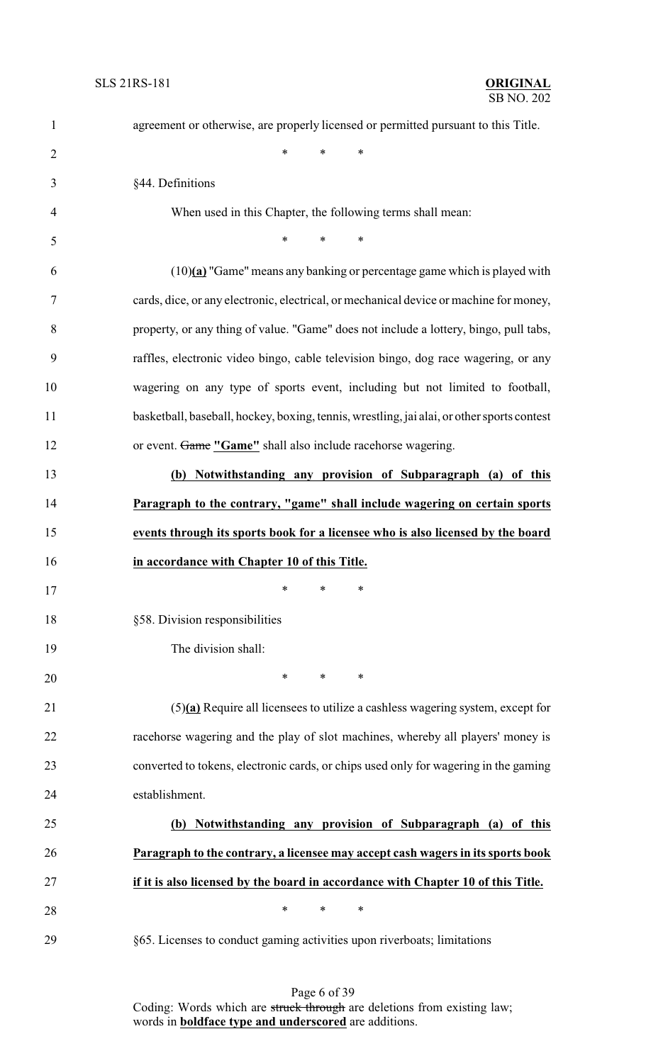| $\mathbf{1}$   | agreement or otherwise, are properly licensed or permitted pursuant to this Title.         |
|----------------|--------------------------------------------------------------------------------------------|
| $\overline{2}$ | $\ast$<br>$\ast$<br>*                                                                      |
| 3              | §44. Definitions                                                                           |
| 4              | When used in this Chapter, the following terms shall mean:                                 |
| 5              | $\ast$<br>$\ast$<br>∗                                                                      |
| 6              | $(10)(a)$ "Game" means any banking or percentage game which is played with                 |
| $\tau$         | cards, dice, or any electronic, electrical, or mechanical device or machine for money,     |
| 8              | property, or any thing of value. "Game" does not include a lottery, bingo, pull tabs,      |
| 9              | raffles, electronic video bingo, cable television bingo, dog race wagering, or any         |
| 10             | wagering on any type of sports event, including but not limited to football,               |
| 11             | basketball, baseball, hockey, boxing, tennis, wrestling, jai alai, or other sports contest |
| 12             | or event. Game "Game" shall also include racehorse wagering.                               |
| 13             | Notwithstanding any provision of Subparagraph (a) of this<br>(b)                           |
| 14             | Paragraph to the contrary, "game" shall include wagering on certain sports                 |
| 15             | events through its sports book for a licensee who is also licensed by the board            |
| 16             | in accordance with Chapter 10 of this Title.                                               |
| 17             | ∗<br>$\ast$<br>∗                                                                           |
| 18             | §58. Division responsibilities                                                             |
| 19             | The division shall:                                                                        |
| 20             | $\ast$<br>*<br>∗                                                                           |
| 21             | $(5)(a)$ Require all licensees to utilize a cashless wagering system, except for           |
| 22             | racehorse wagering and the play of slot machines, whereby all players' money is            |
| 23             | converted to tokens, electronic cards, or chips used only for wagering in the gaming       |
| 24             | establishment.                                                                             |
| 25             | (b) Notwithstanding any provision of Subparagraph (a) of this                              |
| 26             | Paragraph to the contrary, a licensee may accept cash wagers in its sports book            |
| 27             | if it is also licensed by the board in accordance with Chapter 10 of this Title.           |
| 28             | $\ast$<br>$\ast$<br>∗                                                                      |
| 29             | §65. Licenses to conduct gaming activities upon riverboats; limitations                    |

Page 6 of 39 Coding: Words which are struck through are deletions from existing law; words in **boldface type and underscored** are additions.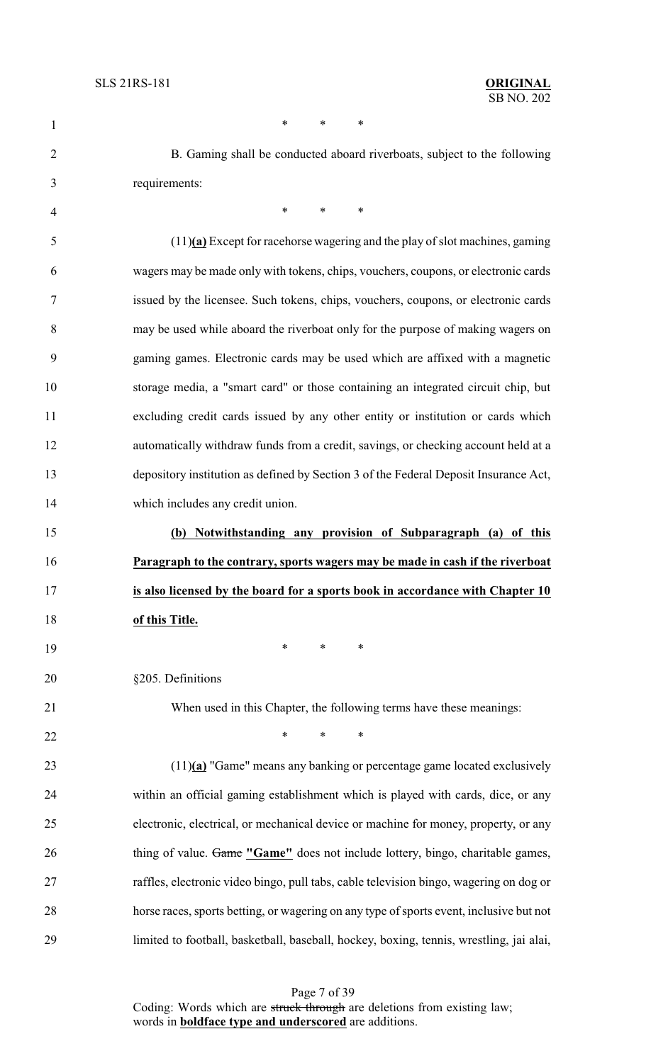| $\mathbf{1}$   | *<br>$\ast$<br>∗                                                                        |
|----------------|-----------------------------------------------------------------------------------------|
| $\overline{2}$ | B. Gaming shall be conducted aboard riverboats, subject to the following                |
| 3              | requirements:                                                                           |
| 4              | *<br>$\ast$<br>∗                                                                        |
| 5              | $(11)$ (a) Except for racehorse wagering and the play of slot machines, gaming          |
| 6              | wagers may be made only with tokens, chips, vouchers, coupons, or electronic cards      |
| 7              | issued by the licensee. Such tokens, chips, vouchers, coupons, or electronic cards      |
| 8              | may be used while aboard the riverboat only for the purpose of making wagers on         |
| 9              | gaming games. Electronic cards may be used which are affixed with a magnetic            |
| 10             | storage media, a "smart card" or those containing an integrated circuit chip, but       |
| 11             | excluding credit cards issued by any other entity or institution or cards which         |
| 12             | automatically withdraw funds from a credit, savings, or checking account held at a      |
| 13             | depository institution as defined by Section 3 of the Federal Deposit Insurance Act,    |
| 14             | which includes any credit union.                                                        |
| 15             | (b) Notwithstanding any provision of Subparagraph (a) of this                           |
| 16             | Paragraph to the contrary, sports wagers may be made in cash if the riverboat           |
| 17             | is also licensed by the board for a sports book in accordance with Chapter 10           |
| 18             | of this Title.                                                                          |
| 19             | ∗<br>∗<br>∗                                                                             |
| 20             | §205. Definitions                                                                       |
| 21             | When used in this Chapter, the following terms have these meanings:                     |
| 22             | $\ast$<br>$\ast$<br>$\ast$                                                              |
| 23             | $(11)$ (a) "Game" means any banking or percentage game located exclusively              |
| 24             | within an official gaming establishment which is played with cards, dice, or any        |
| 25             | electronic, electrical, or mechanical device or machine for money, property, or any     |
| 26             | thing of value. Game "Game" does not include lottery, bingo, charitable games,          |
| 27             | raffles, electronic video bingo, pull tabs, cable television bingo, wagering on dog or  |
| 28             | horse races, sports betting, or wagering on any type of sports event, inclusive but not |
| 29             | limited to football, basketball, baseball, hockey, boxing, tennis, wrestling, jai alai, |

Page 7 of 39 Coding: Words which are struck through are deletions from existing law; words in **boldface type and underscored** are additions.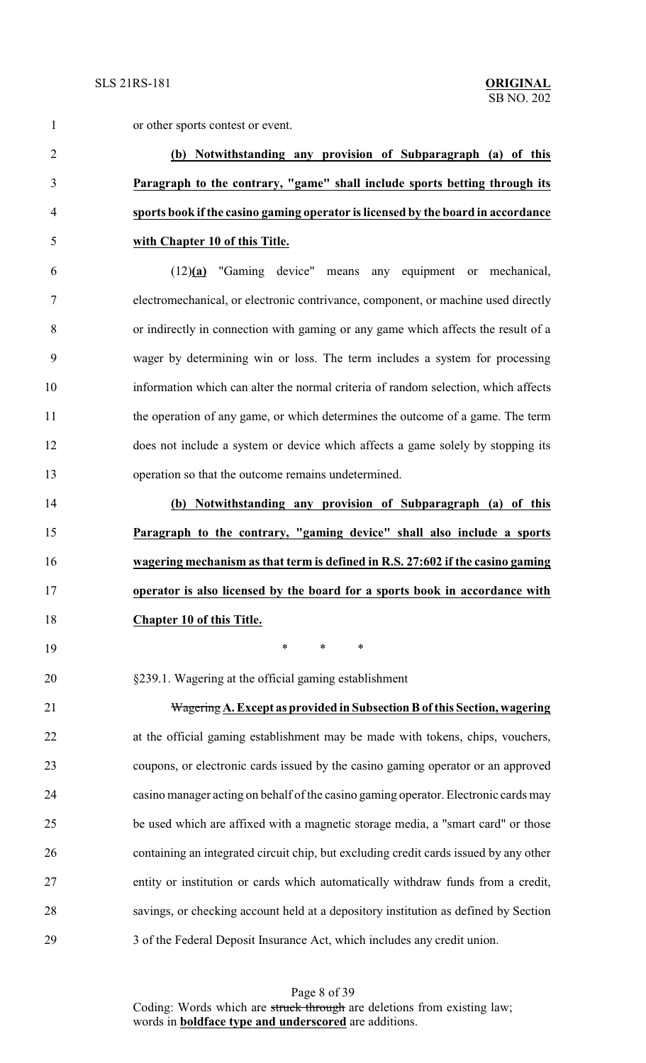or other sports contest or event.

# **(b) Notwithstanding any provision of Subparagraph (a) of this Paragraph to the contrary, "game" shall include sports betting through its sports book if the casino gaming operator is licensed by the board in accordance with Chapter 10 of this Title.**

 (12)**(a)** "Gaming device" means any equipment or mechanical, electromechanical, or electronic contrivance, component, or machine used directly or indirectly in connection with gaming or any game which affects the result of a wager by determining win or loss. The term includes a system for processing information which can alter the normal criteria of random selection, which affects the operation of any game, or which determines the outcome of a game. The term does not include a system or device which affects a game solely by stopping its operation so that the outcome remains undetermined.

 **(b) Notwithstanding any provision of Subparagraph (a) of this Paragraph to the contrary, "gaming device" shall also include a sports wagering mechanism as that term is defined in R.S. 27:602 if the casino gaming operator is also licensed by the board for a sports book in accordance with Chapter 10 of this Title.**

\* \* \*

§239.1. Wagering at the official gaming establishment

 Wagering**A. Except as provided in Subsection B ofthis Section, wagering** at the official gaming establishment may be made with tokens, chips, vouchers, coupons, or electronic cards issued by the casino gaming operator or an approved casino manager acting on behalf of the casino gaming operator. Electronic cards may be used which are affixed with a magnetic storage media, a "smart card" or those containing an integrated circuit chip, but excluding credit cards issued by any other entity or institution or cards which automatically withdraw funds from a credit, savings, or checking account held at a depository institution as defined by Section 3 of the Federal Deposit Insurance Act, which includes any credit union.

> Page 8 of 39 Coding: Words which are struck through are deletions from existing law; words in **boldface type and underscored** are additions.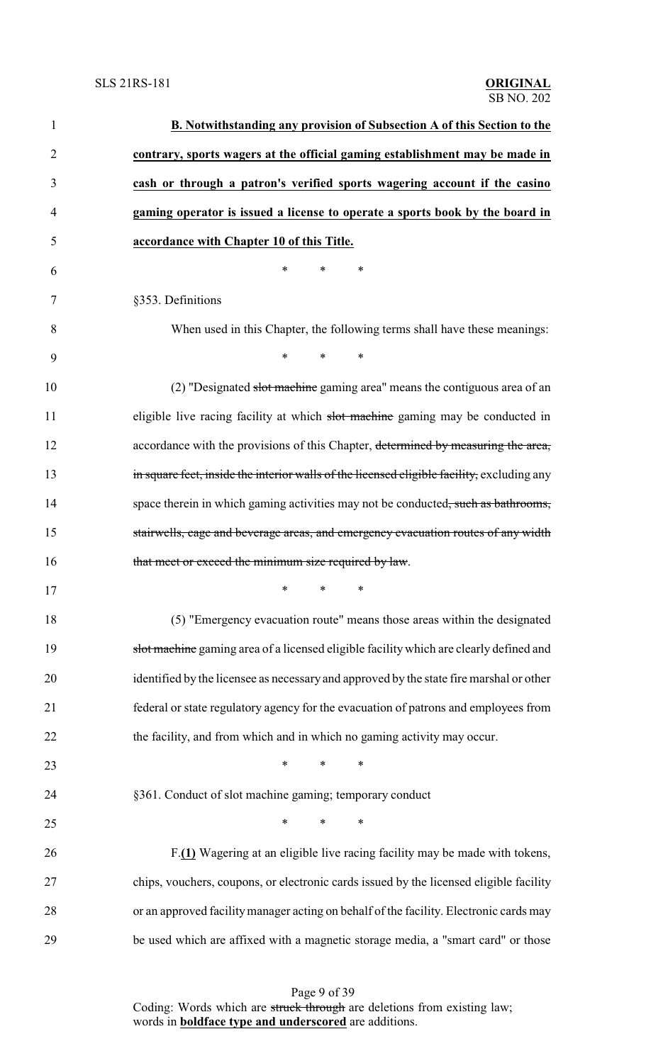| $\mathbf{1}$   | B. Notwithstanding any provision of Subsection A of this Section to the                    |
|----------------|--------------------------------------------------------------------------------------------|
| $\overline{2}$ | contrary, sports wagers at the official gaming establishment may be made in                |
| 3              | cash or through a patron's verified sports wagering account if the casino                  |
| $\overline{4}$ | gaming operator is issued a license to operate a sports book by the board in               |
| 5              | accordance with Chapter 10 of this Title.                                                  |
| 6              | $\ast$<br>$\ast$<br>*                                                                      |
| 7              | §353. Definitions                                                                          |
| 8              | When used in this Chapter, the following terms shall have these meanings:                  |
| 9              | $*$ $*$<br>$\ast$<br>$\ast$                                                                |
| 10             | (2) "Designated slot machine gaming area" means the contiguous area of an                  |
| 11             | eligible live racing facility at which slot machine gaming may be conducted in             |
| 12             | accordance with the provisions of this Chapter, determined by measuring the area,          |
| 13             | in square feet, inside the interior walls of the licensed eligible facility, excluding any |
| 14             | space therein in which gaming activities may not be conducted, such as bathrooms,          |
| 15             | stairwells, cage and beverage areas, and emergency evacuation routes of any width          |
| 16             | that meet or exceed the minimum size required by law.                                      |
| 17             | ∗<br>$\ast$<br>∗                                                                           |
| 18             | (5) "Emergency evacuation route" means those areas within the designated                   |
| 19             | slot machine gaming area of a licensed eligible facility which are clearly defined and     |
| 20             | identified by the licensee as necessary and approved by the state fire marshal or other    |
| 21             | federal or state regulatory agency for the evacuation of patrons and employees from        |
| 22             | the facility, and from which and in which no gaming activity may occur.                    |
| 23             | $\ast$<br>∗<br>∗                                                                           |
| 24             | §361. Conduct of slot machine gaming; temporary conduct                                    |
| 25             | $\ast$<br>$\ast$<br>∗                                                                      |
| 26             | F.(1) Wagering at an eligible live racing facility may be made with tokens,                |
| 27             | chips, vouchers, coupons, or electronic cards issued by the licensed eligible facility     |
| 28             | or an approved facility manager acting on behalf of the facility. Electronic cards may     |
| 29             | be used which are affixed with a magnetic storage media, a "smart card" or those           |

Page 9 of 39 Coding: Words which are struck through are deletions from existing law; words in **boldface type and underscored** are additions.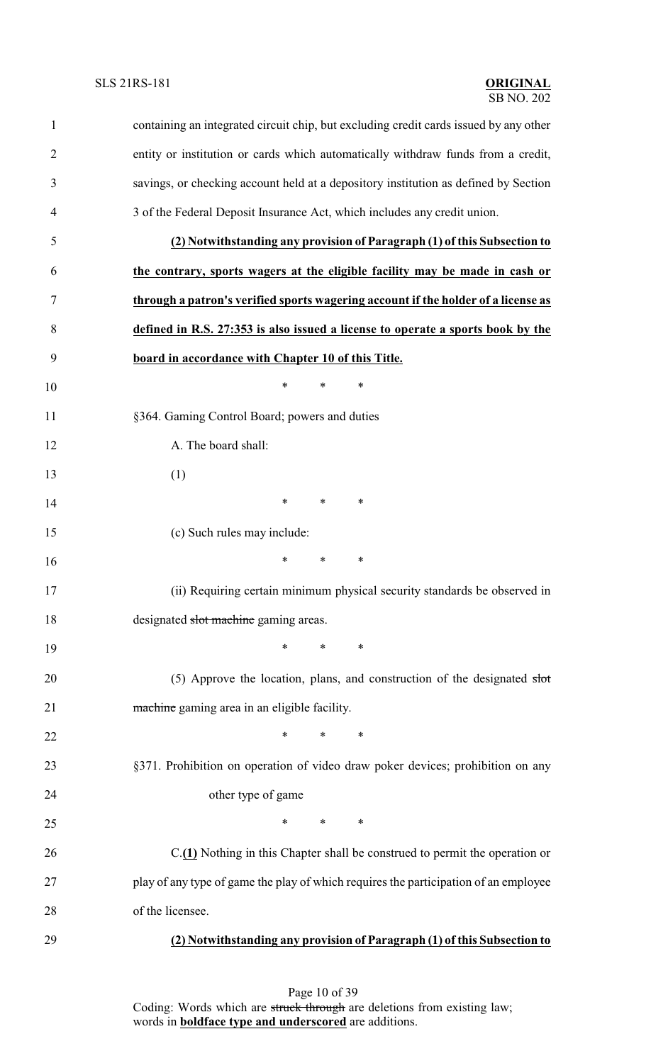| $\mathbf{1}$   | containing an integrated circuit chip, but excluding credit cards issued by any other |
|----------------|---------------------------------------------------------------------------------------|
| $\overline{c}$ | entity or institution or cards which automatically withdraw funds from a credit,      |
| 3              | savings, or checking account held at a depository institution as defined by Section   |
| 4              | 3 of the Federal Deposit Insurance Act, which includes any credit union.              |
| 5              | (2) Notwithstanding any provision of Paragraph (1) of this Subsection to              |
| 6              | the contrary, sports wagers at the eligible facility may be made in cash or           |
| 7              | through a patron's verified sports wagering account if the holder of a license as     |
| 8              | defined in R.S. 27:353 is also issued a license to operate a sports book by the       |
| 9              | board in accordance with Chapter 10 of this Title.                                    |
| 10             | $\ast$<br>$\ast$<br>$\ast$                                                            |
| 11             | §364. Gaming Control Board; powers and duties                                         |
| 12             | A. The board shall:                                                                   |
| 13             | (1)                                                                                   |
| 14             | $\ast$<br>$\ast$<br>$\ast$                                                            |
| 15             | (c) Such rules may include:                                                           |
| 16             | $\ast$<br>$\ast$<br>∗                                                                 |
| 17             | (ii) Requiring certain minimum physical security standards be observed in             |
| 18             | designated slot machine gaming areas.                                                 |
| 19             | $\ast$<br>∗<br>$\ast$                                                                 |
| 20             | (5) Approve the location, plans, and construction of the designated slot              |
| 21             | machine gaming area in an eligible facility.                                          |
| 22             | $\ast$<br>$\ast$<br>∗                                                                 |
| 23             | §371. Prohibition on operation of video draw poker devices; prohibition on any        |
| 24             | other type of game                                                                    |
| 25             | $\ast$<br>$\ast$<br>∗                                                                 |
| 26             | C.(1) Nothing in this Chapter shall be construed to permit the operation or           |
| 27             | play of any type of game the play of which requires the participation of an employee  |
| 28             | of the licensee.                                                                      |
| 29             | (2) Notwithstanding any provision of Paragraph (1) of this Subsection to              |

Page 10 of 39 Coding: Words which are struck through are deletions from existing law; words in **boldface type and underscored** are additions.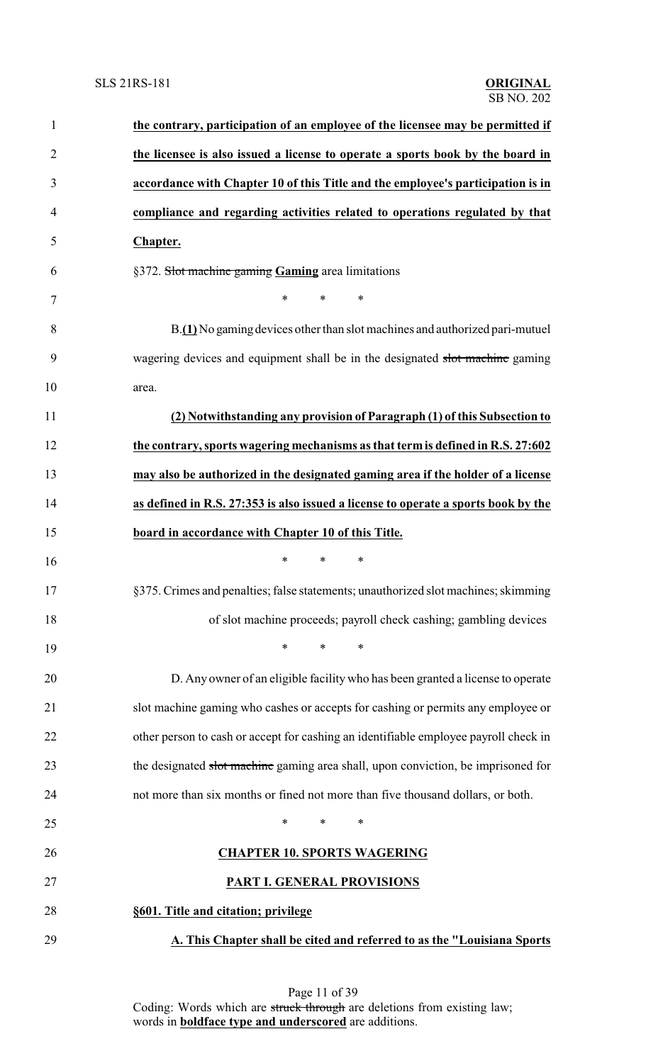# **SLS 21RS-181**

| $\mathbf{1}$   | the contrary, participation of an employee of the licensee may be permitted if       |
|----------------|--------------------------------------------------------------------------------------|
| $\overline{2}$ | the licensee is also issued a license to operate a sports book by the board in       |
| 3              | accordance with Chapter 10 of this Title and the employee's participation is in      |
| 4              | compliance and regarding activities related to operations regulated by that          |
| 5              | Chapter.                                                                             |
| 6              | §372. Slot machine gaming Gaming area limitations                                    |
| 7              | $\ast$<br>$\ast$<br>$\ast$                                                           |
| 8              | B.(1) No gaming devices other than slot machines and authorized pari-mutuel          |
| 9              | wagering devices and equipment shall be in the designated slot machine gaming        |
| 10             | area.                                                                                |
| 11             | (2) Notwithstanding any provision of Paragraph (1) of this Subsection to             |
| 12             | the contrary, sports wagering mechanisms as that term is defined in R.S. 27:602      |
| 13             | may also be authorized in the designated gaming area if the holder of a license      |
| 14             | as defined in R.S. 27:353 is also issued a license to operate a sports book by the   |
| 15             | board in accordance with Chapter 10 of this Title.                                   |
| 16             | *<br>$\ast$<br>*                                                                     |
| 17             | §375. Crimes and penalties; false statements; unauthorized slot machines; skimming   |
| 18             | of slot machine proceeds; payroll check cashing; gambling devices                    |
| 19             | ∗<br>*<br>∗                                                                          |
| 20             | D. Any owner of an eligible facility who has been granted a license to operate       |
| 21             | slot machine gaming who cashes or accepts for cashing or permits any employee or     |
| 22             | other person to cash or accept for cashing an identifiable employee payroll check in |
| 23             | the designated slot machine gaming area shall, upon conviction, be imprisoned for    |
| 24             | not more than six months or fined not more than five thousand dollars, or both.      |
| 25             | $\ast$<br>$\ast$<br>∗                                                                |
| 26             | <b>CHAPTER 10. SPORTS WAGERING</b>                                                   |
| 27             | PART I. GENERAL PROVISIONS                                                           |
| 28             | §601. Title and citation; privilege                                                  |
| 29             | A. This Chapter shall be cited and referred to as the "Louisiana Sports              |

Page 11 of 39 Coding: Words which are struck through are deletions from existing law; words in **boldface type and underscored** are additions.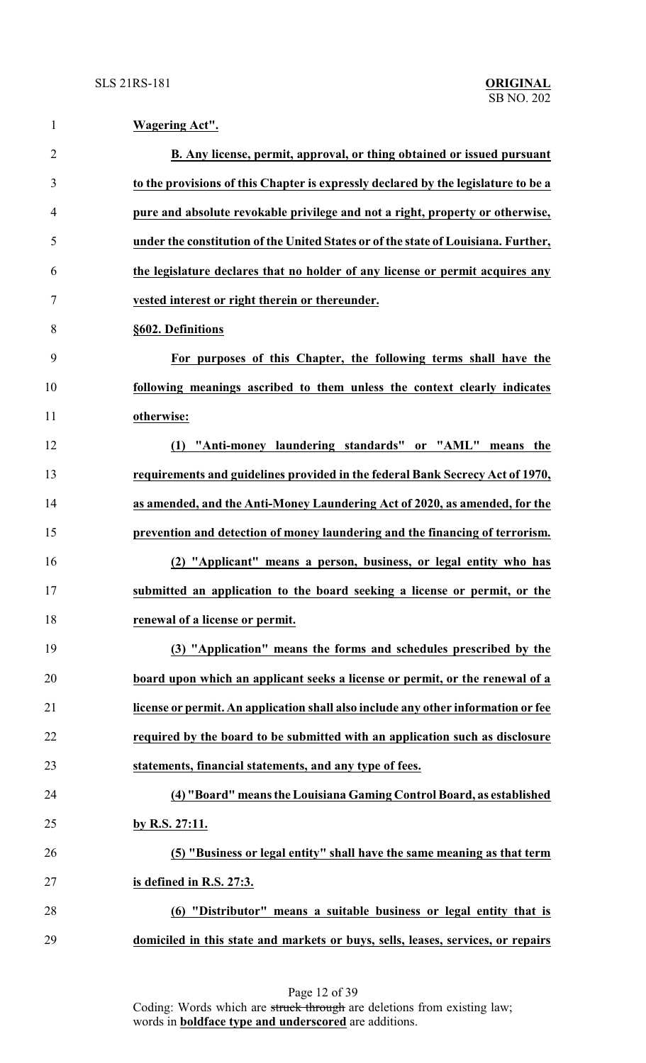| $\mathbf{1}$   | Wagering Act".                                                                     |
|----------------|------------------------------------------------------------------------------------|
| $\overline{2}$ | B. Any license, permit, approval, or thing obtained or issued pursuant             |
| 3              | to the provisions of this Chapter is expressly declared by the legislature to be a |
| $\overline{4}$ | pure and absolute revokable privilege and not a right, property or otherwise,      |
| 5              | under the constitution of the United States or of the state of Louisiana. Further, |
| 6              | the legislature declares that no holder of any license or permit acquires any      |
| $\tau$         | vested interest or right therein or thereunder.                                    |
| 8              | §602. Definitions                                                                  |
| 9              | For purposes of this Chapter, the following terms shall have the                   |
| 10             | following meanings ascribed to them unless the context clearly indicates           |
| 11             | otherwise:                                                                         |
| 12             | (1) "Anti-money laundering standards" or "AML" means the                           |
| 13             | requirements and guidelines provided in the federal Bank Secrecy Act of 1970,      |
| 14             | as amended, and the Anti-Money Laundering Act of 2020, as amended, for the         |
| 15             | prevention and detection of money laundering and the financing of terrorism.       |
| 16             | (2) "Applicant" means a person, business, or legal entity who has                  |
| 17             | submitted an application to the board seeking a license or permit, or the          |
| 18             | renewal of a license or permit.                                                    |
| 19             | (3) "Application" means the forms and schedules prescribed by the                  |
| 20             | board upon which an applicant seeks a license or permit, or the renewal of a       |
| 21             | license or permit. An application shall also include any other information or fee  |
| 22             | required by the board to be submitted with an application such as disclosure       |
| 23             | statements, financial statements, and any type of fees.                            |
| 24             | (4) "Board" means the Louisiana Gaming Control Board, as established               |
| 25             | by R.S. 27:11.                                                                     |
| 26             | (5) "Business or legal entity" shall have the same meaning as that term            |
| 27             | is defined in R.S. 27:3.                                                           |
| 28             | (6) "Distributor" means a suitable business or legal entity that is                |
| 29             | domiciled in this state and markets or buys, sells, leases, services, or repairs   |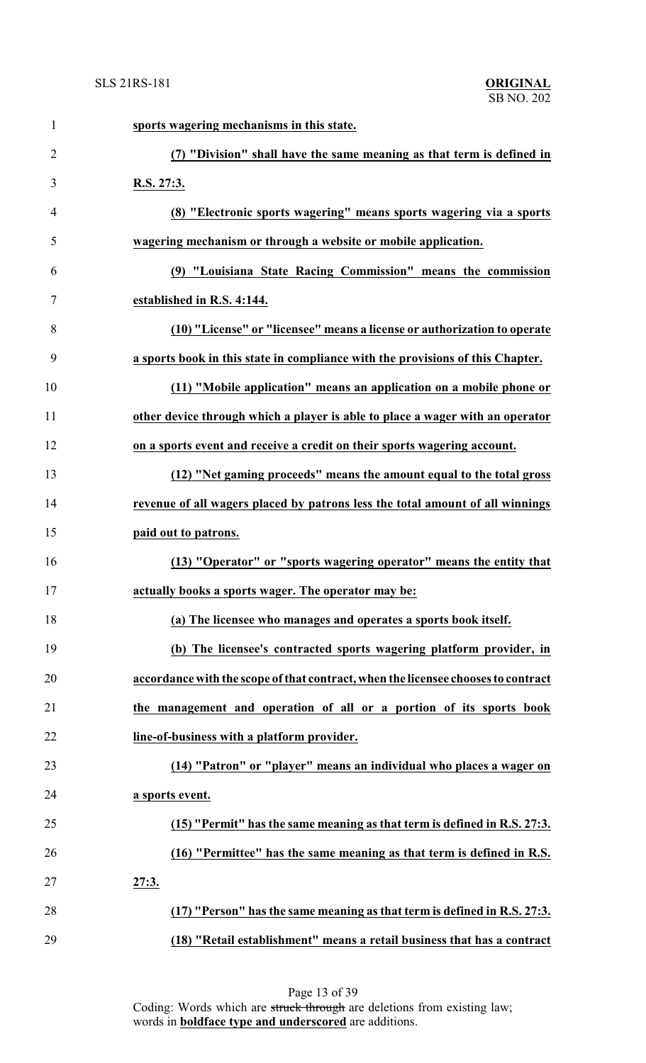| $\mathbf{1}$   | sports wagering mechanisms in this state.                                         |
|----------------|-----------------------------------------------------------------------------------|
| $\overline{2}$ | (7) "Division" shall have the same meaning as that term is defined in             |
| 3              | R.S. 27:3.                                                                        |
| $\overline{4}$ | (8) "Electronic sports wagering" means sports wagering via a sports               |
| 5              | wagering mechanism or through a website or mobile application.                    |
| 6              | (9) "Louisiana State Racing Commission" means the commission                      |
| 7              | established in R.S. 4:144.                                                        |
| 8              | (10) "License" or "licensee" means a license or authorization to operate          |
| 9              | a sports book in this state in compliance with the provisions of this Chapter.    |
| 10             | (11) "Mobile application" means an application on a mobile phone or               |
| 11             | other device through which a player is able to place a wager with an operator     |
| 12             | on a sports event and receive a credit on their sports wagering account.          |
| 13             | (12) "Net gaming proceeds" means the amount equal to the total gross              |
| 14             | revenue of all wagers placed by patrons less the total amount of all winnings     |
| 15             | paid out to patrons.                                                              |
| 16             | (13) "Operator" or "sports wagering operator" means the entity that               |
| 17             | actually books a sports wager. The operator may be:                               |
| 18             | (a) The licensee who manages and operates a sports book itself.                   |
| 19             | (b) The licensee's contracted sports wagering platform provider, in               |
| 20             | accordance with the scope of that contract, when the licensee chooses to contract |
| 21             | the management and operation of all or a portion of its sports book               |
| 22             | line-of-business with a platform provider.                                        |
| 23             | (14) "Patron" or "player" means an individual who places a wager on               |
| 24             | a sports event.                                                                   |
| 25             | (15) "Permit" has the same meaning as that term is defined in R.S. 27:3.          |
| 26             | (16) "Permittee" has the same meaning as that term is defined in R.S.             |
| 27             | 27:3.                                                                             |
| 28             | (17) "Person" has the same meaning as that term is defined in R.S. 27:3.          |
| 29             | (18) "Retail establishment" means a retail business that has a contract           |

Page 13 of 39 Coding: Words which are struck through are deletions from existing law; words in **boldface type and underscored** are additions.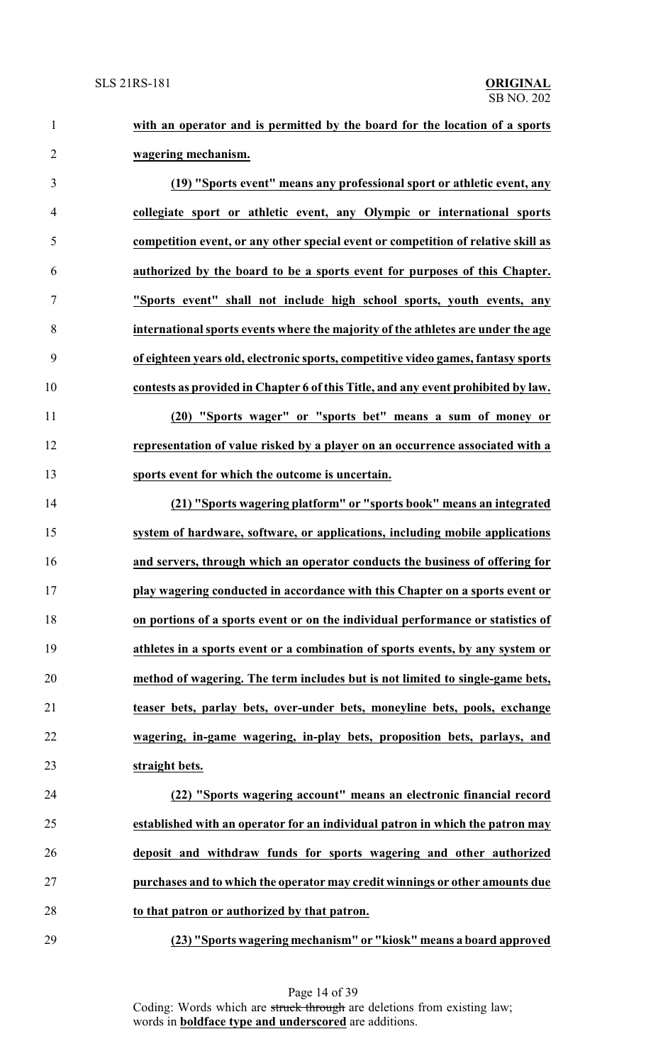**with an operator and is permitted by the board for the location of a sports wagering mechanism.**

 **(19) "Sports event" means any professional sport or athletic event, any collegiate sport or athletic event, any Olympic or international sports competition event, or any other special event or competition of relative skill as authorized by the board to be a sports event for purposes of this Chapter. "Sports event" shall not include high school sports, youth events, any international sports events where the majority of the athletes are under the age of eighteen years old, electronic sports, competitive video games, fantasy sports contests as provided in Chapter 6 of this Title, and any event prohibited by law. (20) "Sports wager" or "sports bet" means a sum of money or**

 **representation of value risked by a player on an occurrence associated with a sports event for which the outcome is uncertain.**

 **(21) "Sports wagering platform" or "sports book" means an integrated system of hardware, software, or applications, including mobile applications and servers, through which an operator conducts the business of offering for play wagering conducted in accordance with this Chapter on a sports event or on portions of a sports event or on the individual performance or statistics of athletes in a sports event or a combination of sports events, by any system or method of wagering. The term includes but is not limited to single-game bets, teaser bets, parlay bets, over-under bets, moneyline bets, pools, exchange wagering, in-game wagering, in-play bets, proposition bets, parlays, and straight bets.**

 **(22) "Sports wagering account" means an electronic financial record established with an operator for an individual patron in which the patron may deposit and withdraw funds for sports wagering and other authorized purchases and to which the operator may credit winnings or other amounts due to that patron or authorized by that patron.**

**(23) "Sports wagering mechanism" or "kiosk" means a board approved**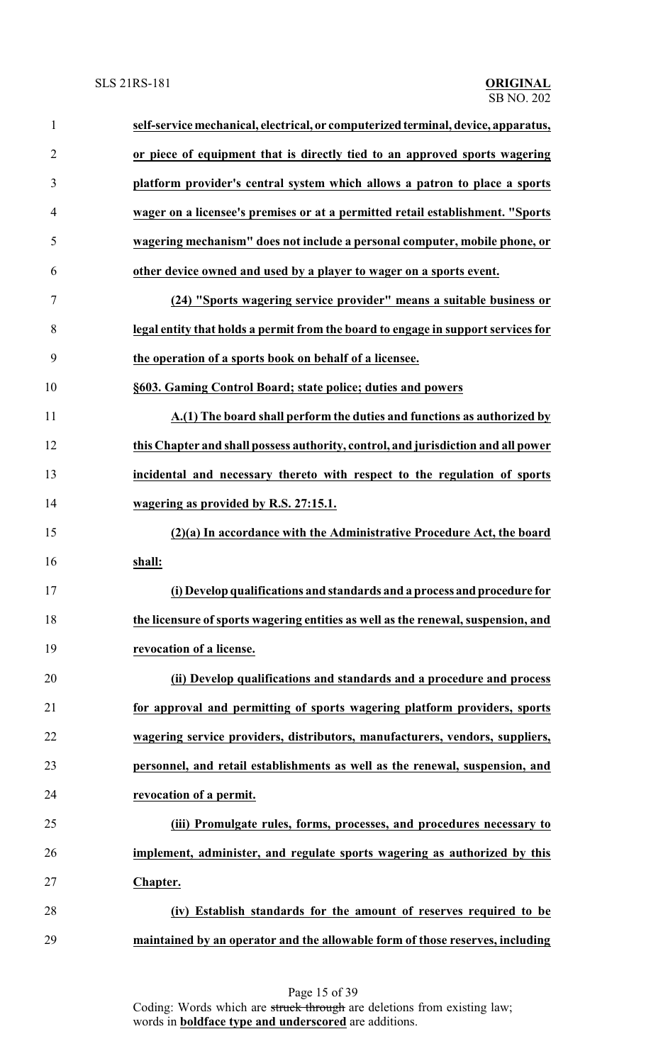| $\mathbf{1}$   | self-service mechanical, electrical, or computerized terminal, device, apparatus, |
|----------------|-----------------------------------------------------------------------------------|
| $\overline{2}$ | or piece of equipment that is directly tied to an approved sports wagering        |
| 3              | platform provider's central system which allows a patron to place a sports        |
| $\overline{4}$ | wager on a licensee's premises or at a permitted retail establishment. "Sports    |
| 5              | wagering mechanism" does not include a personal computer, mobile phone, or        |
| 6              | other device owned and used by a player to wager on a sports event.               |
| 7              | (24) "Sports wagering service provider" means a suitable business or              |
| 8              | legal entity that holds a permit from the board to engage in support services for |
| 9              | the operation of a sports book on behalf of a licensee.                           |
| 10             | §603. Gaming Control Board; state police; duties and powers                       |
| 11             | A.(1) The board shall perform the duties and functions as authorized by           |
| 12             | this Chapter and shall possess authority, control, and jurisdiction and all power |
| 13             | incidental and necessary thereto with respect to the regulation of sports         |
| 14             | wagering as provided by R.S. 27:15.1.                                             |
| 15             | (2)(a) In accordance with the Administrative Procedure Act, the board             |
| 16             | shall:                                                                            |
| 17             | (i) Develop qualifications and standards and a process and procedure for          |
| 18             | the licensure of sports wagering entities as well as the renewal, suspension, and |
| 19             | revocation of a license.                                                          |
| 20             | (ii) Develop qualifications and standards and a procedure and process             |
| 21             | for approval and permitting of sports wagering platform providers, sports         |
| 22             | wagering service providers, distributors, manufacturers, vendors, suppliers,      |
| 23             | personnel, and retail establishments as well as the renewal, suspension, and      |
| 24             | revocation of a permit.                                                           |
| 25             | (iii) Promulgate rules, forms, processes, and procedures necessary to             |
| 26             | implement, administer, and regulate sports wagering as authorized by this         |
| 27             | Chapter.                                                                          |
| 28             | (iv) Establish standards for the amount of reserves required to be                |
| 29             | maintained by an operator and the allowable form of those reserves, including     |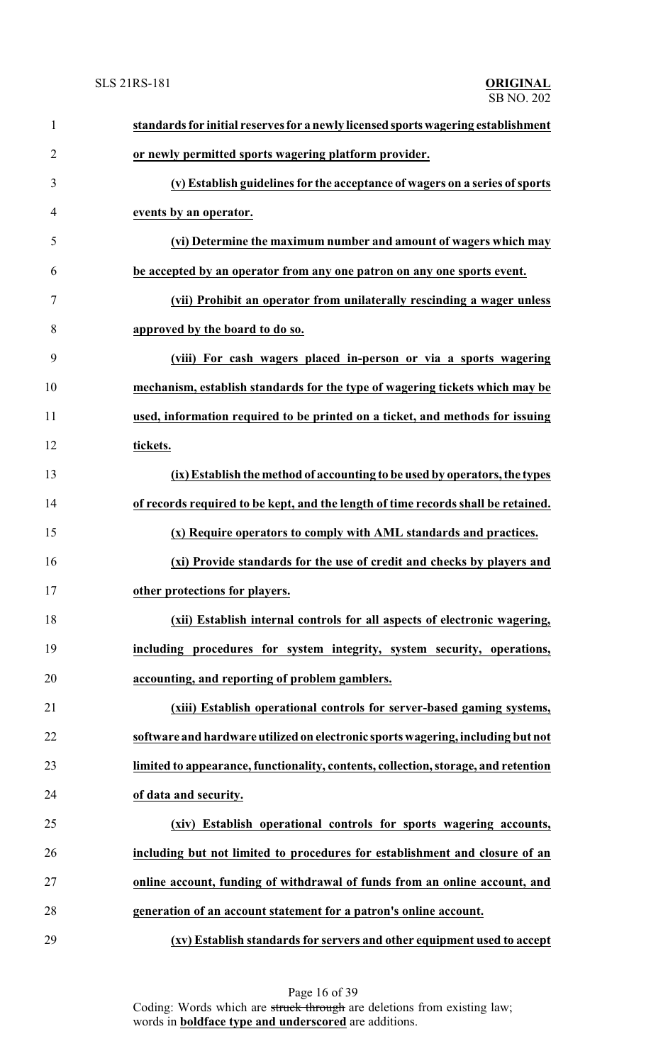| $\mathbf{1}$   | standards for initial reserves for a newly licensed sports wagering establishment  |
|----------------|------------------------------------------------------------------------------------|
| $\overline{2}$ | or newly permitted sports wagering platform provider.                              |
| 3              | (v) Establish guidelines for the acceptance of wagers on a series of sports        |
| 4              | events by an operator.                                                             |
| 5              | (vi) Determine the maximum number and amount of wagers which may                   |
| 6              | be accepted by an operator from any one patron on any one sports event.            |
| $\tau$         | (vii) Prohibit an operator from unilaterally rescinding a wager unless             |
| 8              | approved by the board to do so.                                                    |
| 9              | (viii) For cash wagers placed in-person or via a sports wagering                   |
| 10             | mechanism, establish standards for the type of wagering tickets which may be       |
| 11             | used, information required to be printed on a ticket, and methods for issuing      |
| 12             | tickets.                                                                           |
| 13             | (ix) Establish the method of accounting to be used by operators, the types         |
| 14             | of records required to be kept, and the length of time records shall be retained.  |
| 15             | (x) Require operators to comply with AML standards and practices.                  |
| 16             | (xi) Provide standards for the use of credit and checks by players and             |
| 17             | other protections for players.                                                     |
| 18             | (xii) Establish internal controls for all aspects of electronic wagering,          |
| 19             | including procedures for system integrity, system security, operations,            |
| 20             | accounting, and reporting of problem gamblers.                                     |
| 21             | (xiii) Establish operational controls for server-based gaming systems,             |
| 22             | software and hardware utilized on electronic sports wagering, including but not    |
| 23             | limited to appearance, functionality, contents, collection, storage, and retention |
| 24             | of data and security.                                                              |
| 25             | (xiv) Establish operational controls for sports wagering accounts,                 |
| 26             | including but not limited to procedures for establishment and closure of an        |
| 27             | online account, funding of withdrawal of funds from an online account, and         |
| 28             | generation of an account statement for a patron's online account.                  |
| 29             | (xv) Establish standards for servers and other equipment used to accept            |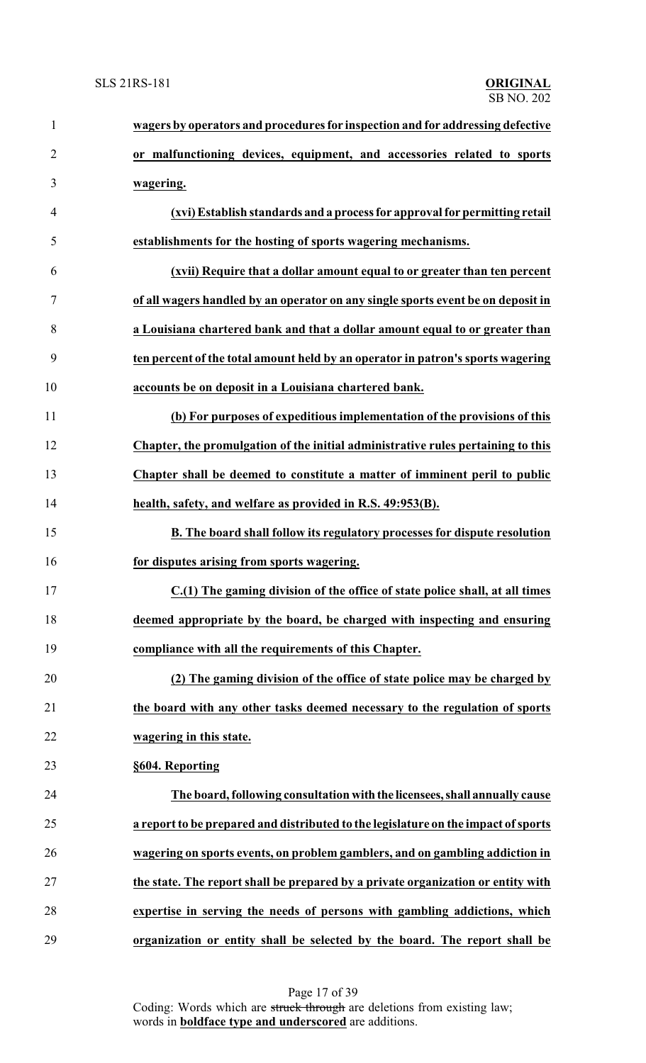| $\mathbf{1}$   | wagers by operators and procedures for inspection and for addressing defective     |
|----------------|------------------------------------------------------------------------------------|
| $\overline{2}$ | or malfunctioning devices, equipment, and accessories related to sports            |
| 3              | wagering.                                                                          |
| $\overline{4}$ | (xvi) Establish standards and a process for approval for permitting retail         |
| 5              | establishments for the hosting of sports wagering mechanisms.                      |
| 6              | (xvii) Require that a dollar amount equal to or greater than ten percent           |
| 7              | of all wagers handled by an operator on any single sports event be on deposit in   |
| 8              | a Louisiana chartered bank and that a dollar amount equal to or greater than       |
| 9              | ten percent of the total amount held by an operator in patron's sports wagering    |
| 10             | accounts be on deposit in a Louisiana chartered bank.                              |
| 11             | (b) For purposes of expeditious implementation of the provisions of this           |
| 12             | Chapter, the promulgation of the initial administrative rules pertaining to this   |
| 13             | Chapter shall be deemed to constitute a matter of imminent peril to public         |
| 14             | health, safety, and welfare as provided in R.S. 49:953(B).                         |
| 15             | B. The board shall follow its regulatory processes for dispute resolution          |
| 16             | for disputes arising from sports wagering.                                         |
| 17             | C.(1) The gaming division of the office of state police shall, at all times        |
| 18             | deemed appropriate by the board, be charged with inspecting and ensuring           |
| 19             | compliance with all the requirements of this Chapter.                              |
| 20             | (2) The gaming division of the office of state police may be charged by            |
| 21             | the board with any other tasks deemed necessary to the regulation of sports        |
| 22             | wagering in this state.                                                            |
| 23             | §604. Reporting                                                                    |
| 24             | The board, following consultation with the licensees, shall annually cause         |
| 25             | a report to be prepared and distributed to the legislature on the impact of sports |
| 26             | wagering on sports events, on problem gamblers, and on gambling addiction in       |
| 27             | the state. The report shall be prepared by a private organization or entity with   |
| 28             | expertise in serving the needs of persons with gambling addictions, which          |
| 29             | organization or entity shall be selected by the board. The report shall be         |

Page 17 of 39 Coding: Words which are struck through are deletions from existing law; words in **boldface type and underscored** are additions.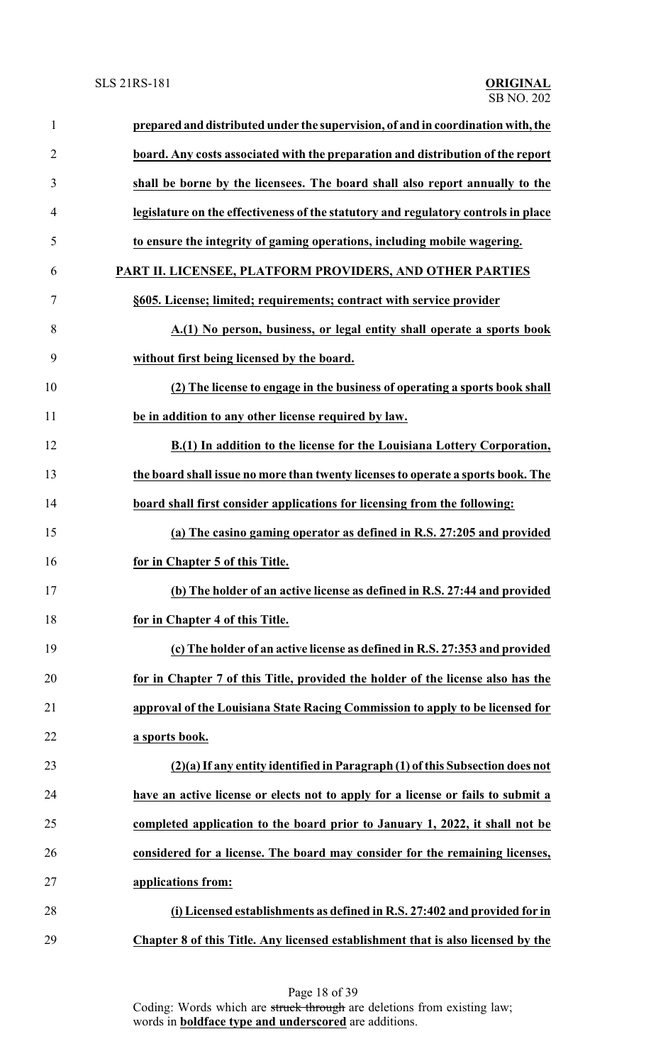| $\mathbf{1}$   | prepared and distributed under the supervision, of and in coordination with, the   |
|----------------|------------------------------------------------------------------------------------|
| $\overline{2}$ | board. Any costs associated with the preparation and distribution of the report    |
| 3              | shall be borne by the licensees. The board shall also report annually to the       |
| $\overline{4}$ | legislature on the effectiveness of the statutory and regulatory controls in place |
| 5              | to ensure the integrity of gaming operations, including mobile wagering.           |
| 6              | PART II. LICENSEE, PLATFORM PROVIDERS, AND OTHER PARTIES                           |
| 7              | §605. License; limited; requirements; contract with service provider               |
| 8              | A.(1) No person, business, or legal entity shall operate a sports book             |
| 9              | without first being licensed by the board.                                         |
| 10             | (2) The license to engage in the business of operating a sports book shall         |
| 11             | be in addition to any other license required by law.                               |
| 12             | B.(1) In addition to the license for the Louisiana Lottery Corporation,            |
| 13             | the board shall issue no more than twenty licenses to operate a sports book. The   |
| 14             | board shall first consider applications for licensing from the following:          |
| 15             | (a) The casino gaming operator as defined in R.S. 27:205 and provided              |
| 16             | for in Chapter 5 of this Title.                                                    |
| 17             | (b) The holder of an active license as defined in R.S. 27:44 and provided          |
| 18             | for in Chapter 4 of this Title.                                                    |
| 19             | (c) The holder of an active license as defined in R.S. 27:353 and provided         |
| 20             | for in Chapter 7 of this Title, provided the holder of the license also has the    |
| 21             | approval of the Louisiana State Racing Commission to apply to be licensed for      |
| 22             | a sports book.                                                                     |
| 23             | (2)(a) If any entity identified in Paragraph (1) of this Subsection does not       |
| 24             | have an active license or elects not to apply for a license or fails to submit a   |
| 25             | completed application to the board prior to January 1, 2022, it shall not be       |
| 26             | considered for a license. The board may consider for the remaining licenses,       |
| 27             | applications from:                                                                 |
| 28             | (i) Licensed establishments as defined in R.S. 27:402 and provided for in          |
| 29             | Chapter 8 of this Title. Any licensed establishment that is also licensed by the   |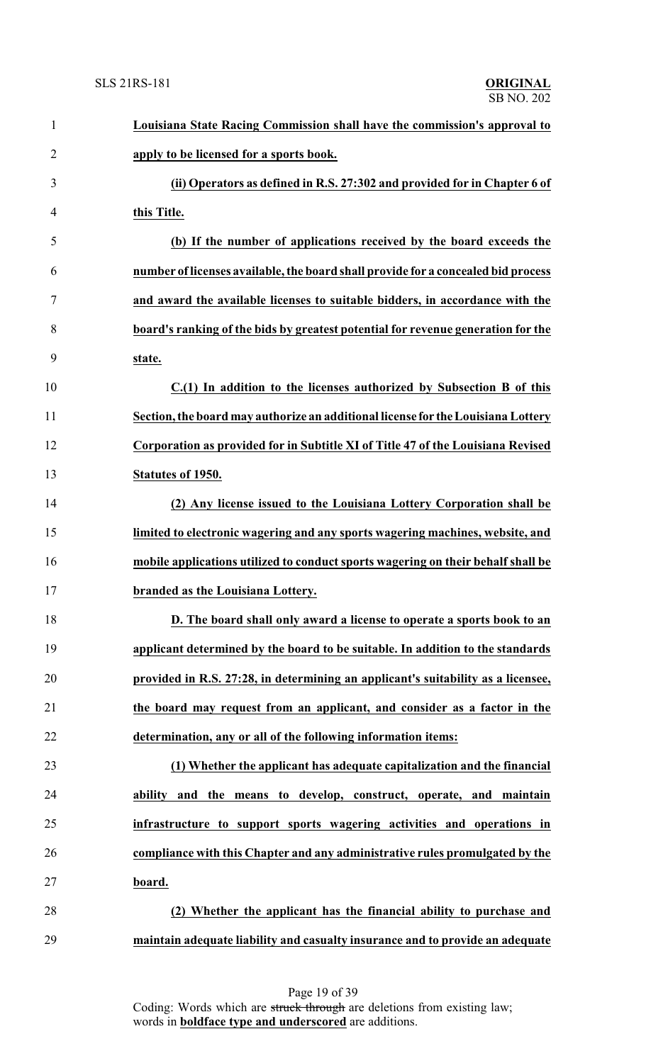| $\mathbf{1}$   | Louisiana State Racing Commission shall have the commission's approval to         |
|----------------|-----------------------------------------------------------------------------------|
| $\overline{2}$ | apply to be licensed for a sports book.                                           |
| 3              | (ii) Operators as defined in R.S. 27:302 and provided for in Chapter 6 of         |
| $\overline{4}$ | this Title.                                                                       |
| 5              | (b) If the number of applications received by the board exceeds the               |
| 6              | number of licenses available, the board shall provide for a concealed bid process |
| $\tau$         | and award the available licenses to suitable bidders, in accordance with the      |
| 8              | board's ranking of the bids by greatest potential for revenue generation for the  |
| 9              | state.                                                                            |
| 10             | C.(1) In addition to the licenses authorized by Subsection B of this              |
| 11             | Section, the board may authorize an additional license for the Louisiana Lottery  |
| 12             | Corporation as provided for in Subtitle XI of Title 47 of the Louisiana Revised   |
| 13             | Statutes of 1950.                                                                 |
| 14             | (2) Any license issued to the Louisiana Lottery Corporation shall be              |
| 15             | limited to electronic wagering and any sports wagering machines, website, and     |
| 16             | mobile applications utilized to conduct sports wagering on their behalf shall be  |
| 17             | branded as the Louisiana Lottery.                                                 |
| 18             | D. The board shall only award a license to operate a sports book to an            |
| 19             | applicant determined by the board to be suitable. In addition to the standards    |
| 20             | provided in R.S. 27:28, in determining an applicant's suitability as a licensee,  |
| 21             | the board may request from an applicant, and consider as a factor in the          |
| 22             | determination, any or all of the following information items:                     |
| 23             | (1) Whether the applicant has adequate capitalization and the financial           |
| 24             | ability and the means to develop, construct, operate, and maintain                |
| 25             | infrastructure to support sports wagering activities and operations in            |
| 26             | compliance with this Chapter and any administrative rules promulgated by the      |
| 27             | board.                                                                            |
| 28             | (2) Whether the applicant has the financial ability to purchase and               |
| 29             | maintain adequate liability and casualty insurance and to provide an adequate     |

Page 19 of 39 Coding: Words which are struck through are deletions from existing law; words in **boldface type and underscored** are additions.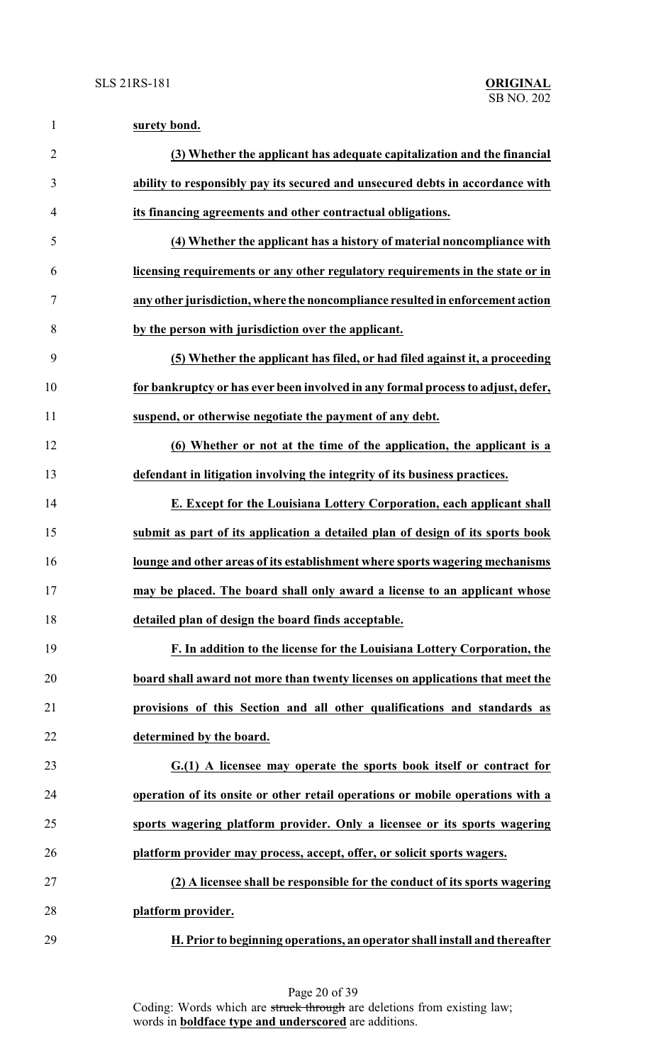| $\mathbf{1}$   | surety bond.                                                                     |
|----------------|----------------------------------------------------------------------------------|
| $\overline{2}$ | (3) Whether the applicant has adequate capitalization and the financial          |
| 3              | ability to responsibly pay its secured and unsecured debts in accordance with    |
| 4              | its financing agreements and other contractual obligations.                      |
| 5              | (4) Whether the applicant has a history of material noncompliance with           |
| 6              | licensing requirements or any other regulatory requirements in the state or in   |
| 7              | any other jurisdiction, where the noncompliance resulted in enforcement action   |
| 8              | by the person with jurisdiction over the applicant.                              |
| 9              | (5) Whether the applicant has filed, or had filed against it, a proceeding       |
| 10             | for bankruptcy or has ever been involved in any formal process to adjust, defer, |
| 11             | suspend, or otherwise negotiate the payment of any debt.                         |
| 12             | (6) Whether or not at the time of the application, the applicant is a            |
| 13             | defendant in litigation involving the integrity of its business practices.       |
| 14             | E. Except for the Louisiana Lottery Corporation, each applicant shall            |
| 15             | submit as part of its application a detailed plan of design of its sports book   |
| 16             | lounge and other areas of its establishment where sports wagering mechanisms     |
| 17             | may be placed. The board shall only award a license to an applicant whose        |
| 18             | detailed plan of design the board finds acceptable.                              |
| 19             | F. In addition to the license for the Louisiana Lottery Corporation, the         |
| 20             | board shall award not more than twenty licenses on applications that meet the    |
| 21             | provisions of this Section and all other qualifications and standards as         |
| 22             | determined by the board.                                                         |
| 23             | G.(1) A licensee may operate the sports book itself or contract for              |
| 24             | operation of its onsite or other retail operations or mobile operations with a   |
| 25             | sports wagering platform provider. Only a licensee or its sports wagering        |
| 26             | platform provider may process, accept, offer, or solicit sports wagers.          |
| 27             | (2) A licensee shall be responsible for the conduct of its sports wagering       |
| 28             | platform provider.                                                               |
| 29             | H. Prior to beginning operations, an operator shall install and thereafter       |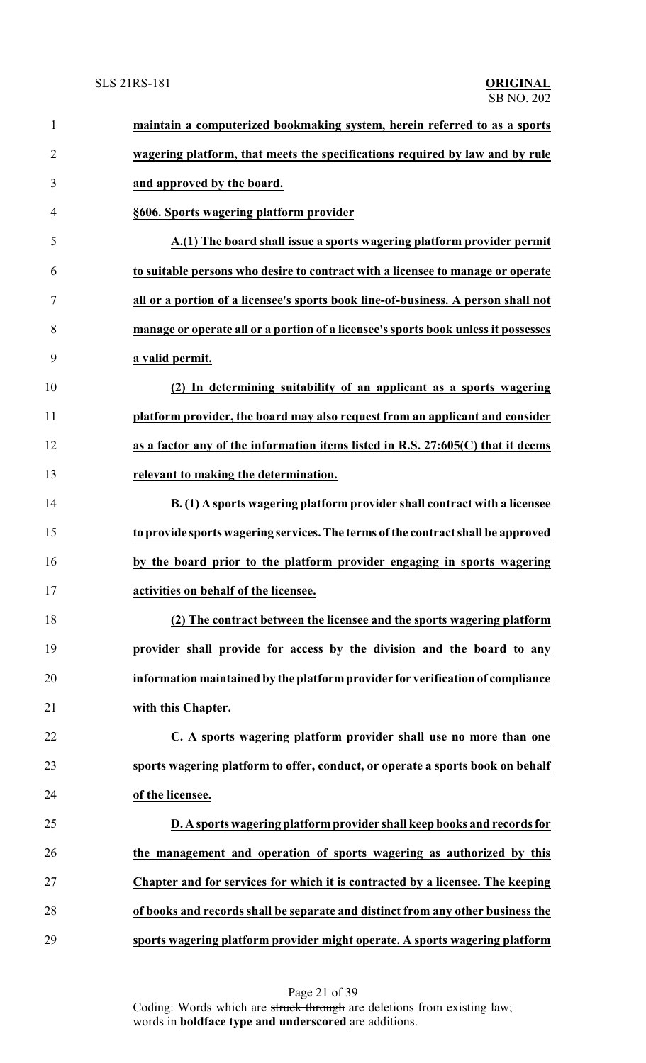| $\mathbf{1}$   | maintain a computerized bookmaking system, herein referred to as a sports          |
|----------------|------------------------------------------------------------------------------------|
| $\overline{2}$ | wagering platform, that meets the specifications required by law and by rule       |
| 3              | and approved by the board.                                                         |
| $\overline{4}$ | §606. Sports wagering platform provider                                            |
| 5              | A.(1) The board shall issue a sports wagering platform provider permit             |
| 6              | to suitable persons who desire to contract with a licensee to manage or operate    |
| 7              | all or a portion of a licensee's sports book line-of-business. A person shall not  |
| 8              | manage or operate all or a portion of a licensee's sports book unless it possesses |
| 9              | a valid permit.                                                                    |
| 10             | (2) In determining suitability of an applicant as a sports wagering                |
| 11             | platform provider, the board may also request from an applicant and consider       |
| 12             | as a factor any of the information items listed in R.S. 27:605(C) that it deems    |
| 13             | relevant to making the determination.                                              |
| 14             | B. (1) A sports wagering platform provider shall contract with a licensee          |
| 15             | to provide sports wagering services. The terms of the contract shall be approved   |
| 16             | by the board prior to the platform provider engaging in sports wagering            |
| 17             | activities on behalf of the licensee.                                              |
| 18             | (2) The contract between the licensee and the sports wagering platform             |
| 19             | provider shall provide for access by the division and the board to any             |
| 20             | information maintained by the platform provider for verification of compliance     |
| 21             | with this Chapter.                                                                 |
| 22             | C. A sports wagering platform provider shall use no more than one                  |
| 23             | sports wagering platform to offer, conduct, or operate a sports book on behalf     |
| 24             | of the licensee.                                                                   |
| 25             | D. A sports wagering platform provider shall keep books and records for            |
| 26             | the management and operation of sports wagering as authorized by this              |
| 27             | Chapter and for services for which it is contracted by a licensee. The keeping     |
| 28             | of books and records shall be separate and distinct from any other business the    |
| 29             | sports wagering platform provider might operate. A sports wagering platform        |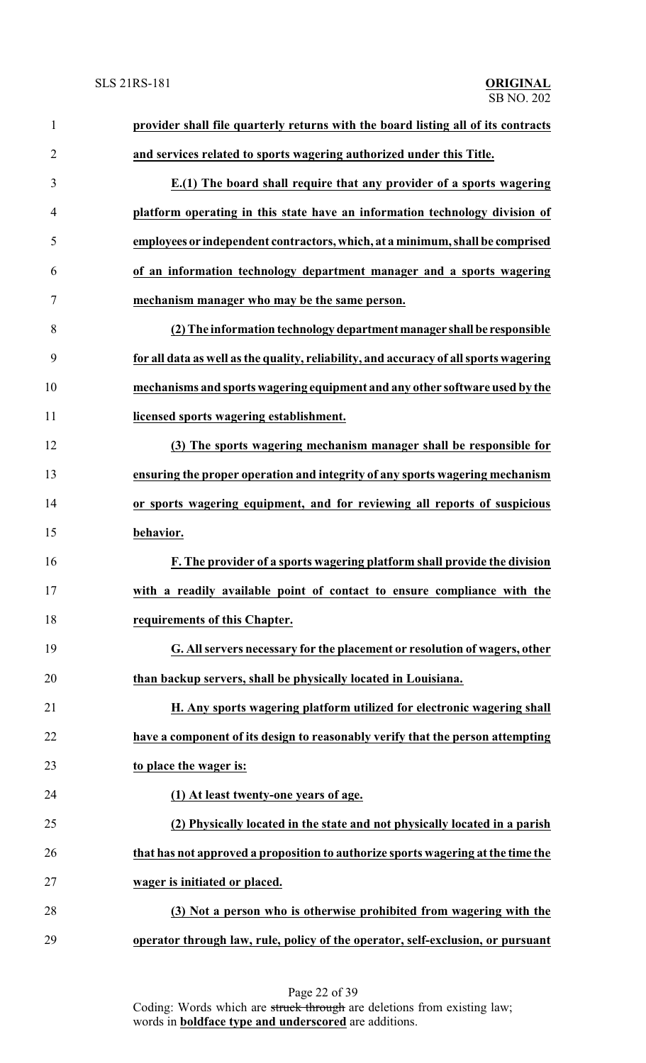| $\mathbf{1}$   | provider shall file quarterly returns with the board listing all of its contracts     |
|----------------|---------------------------------------------------------------------------------------|
| $\overline{2}$ | and services related to sports wagering authorized under this Title.                  |
| 3              | E.(1) The board shall require that any provider of a sports wagering                  |
| $\overline{4}$ | platform operating in this state have an information technology division of           |
| 5              | employees or independent contractors, which, at a minimum, shall be comprised         |
| 6              | of an information technology department manager and a sports wagering                 |
| $\overline{7}$ | mechanism manager who may be the same person.                                         |
| 8              | (2) The information technology department manager shall be responsible                |
| 9              | for all data as well as the quality, reliability, and accuracy of all sports wagering |
| 10             | mechanisms and sports wagering equipment and any other software used by the           |
| 11             | licensed sports wagering establishment.                                               |
| 12             | (3) The sports wagering mechanism manager shall be responsible for                    |
| 13             | ensuring the proper operation and integrity of any sports wagering mechanism          |
| 14             | or sports wagering equipment, and for reviewing all reports of suspicious             |
| 15             | behavior.                                                                             |
| 16             | F. The provider of a sports wagering platform shall provide the division              |
| 17             | with a readily available point of contact to ensure compliance with the               |
| 18             | requirements of this Chapter.                                                         |
| 19             | G. All servers necessary for the placement or resolution of wagers, other             |
| 20             | than backup servers, shall be physically located in Louisiana.                        |
| 21             | H. Any sports wagering platform utilized for electronic wagering shall                |
| 22             | have a component of its design to reasonably verify that the person attempting        |
| 23             | to place the wager is:                                                                |
| 24             | (1) At least twenty-one years of age.                                                 |
| 25             | (2) Physically located in the state and not physically located in a parish            |
| 26             | that has not approved a proposition to authorize sports wagering at the time the      |
| 27             | wager is initiated or placed.                                                         |
| 28             | (3) Not a person who is otherwise prohibited from wagering with the                   |
| 29             | operator through law, rule, policy of the operator, self-exclusion, or pursuant       |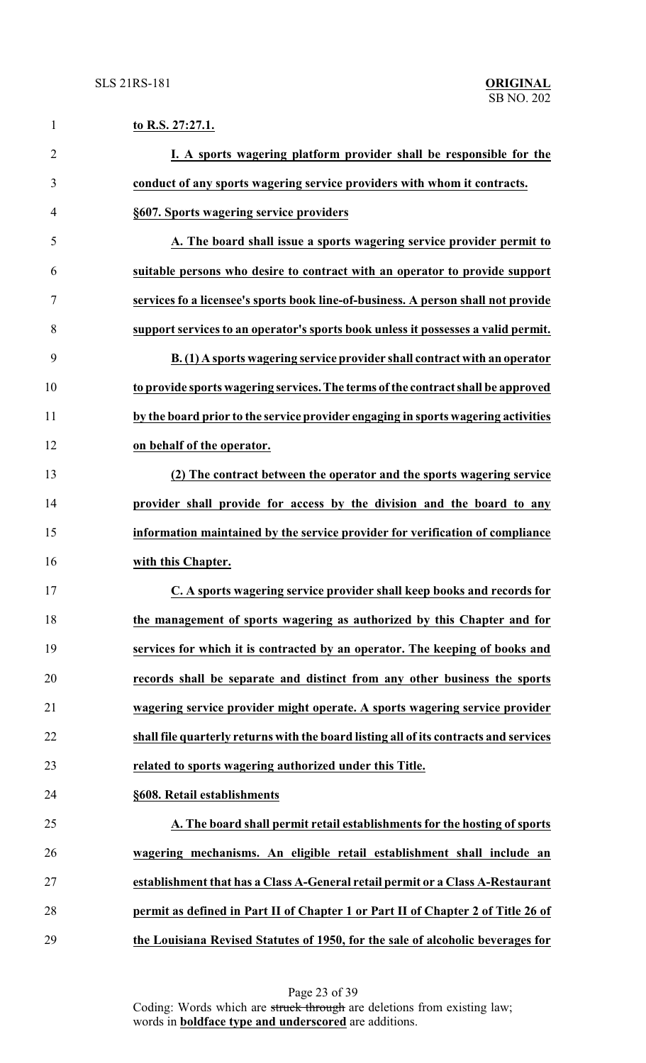| $\mathbf{1}$   | to R.S. 27:27.1.                                                                      |
|----------------|---------------------------------------------------------------------------------------|
| $\overline{2}$ | I. A sports wagering platform provider shall be responsible for the                   |
| 3              | conduct of any sports wagering service providers with whom it contracts.              |
| 4              | §607. Sports wagering service providers                                               |
| 5              | A. The board shall issue a sports wagering service provider permit to                 |
| 6              | suitable persons who desire to contract with an operator to provide support           |
| 7              | services fo a licensee's sports book line-of-business. A person shall not provide     |
| 8              | support services to an operator's sports book unless it possesses a valid permit.     |
| 9              | B. (1) A sports wagering service provider shall contract with an operator             |
| 10             | to provide sports wagering services. The terms of the contract shall be approved      |
| 11             | by the board prior to the service provider engaging in sports wagering activities     |
| 12             | on behalf of the operator.                                                            |
| 13             | (2) The contract between the operator and the sports wagering service                 |
| 14             | provider shall provide for access by the division and the board to any                |
| 15             | information maintained by the service provider for verification of compliance         |
| 16             | with this Chapter.                                                                    |
| 17             | C. A sports wagering service provider shall keep books and records for                |
| 18             | the management of sports wagering as authorized by this Chapter and for               |
| 19             | services for which it is contracted by an operator. The keeping of books and          |
| 20             | records shall be separate and distinct from any other business the sports             |
| 21             | wagering service provider might operate. A sports wagering service provider           |
| 22             | shall file quarterly returns with the board listing all of its contracts and services |
| 23             | related to sports wagering authorized under this Title.                               |
| 24             | §608. Retail establishments                                                           |
| 25             | A. The board shall permit retail establishments for the hosting of sports             |
| 26             | wagering mechanisms. An eligible retail establishment shall include an                |
| 27             | establishment that has a Class A-General retail permit or a Class A-Restaurant        |
| 28             | permit as defined in Part II of Chapter 1 or Part II of Chapter 2 of Title 26 of      |
| 29             | the Louisiana Revised Statutes of 1950, for the sale of alcoholic beverages for       |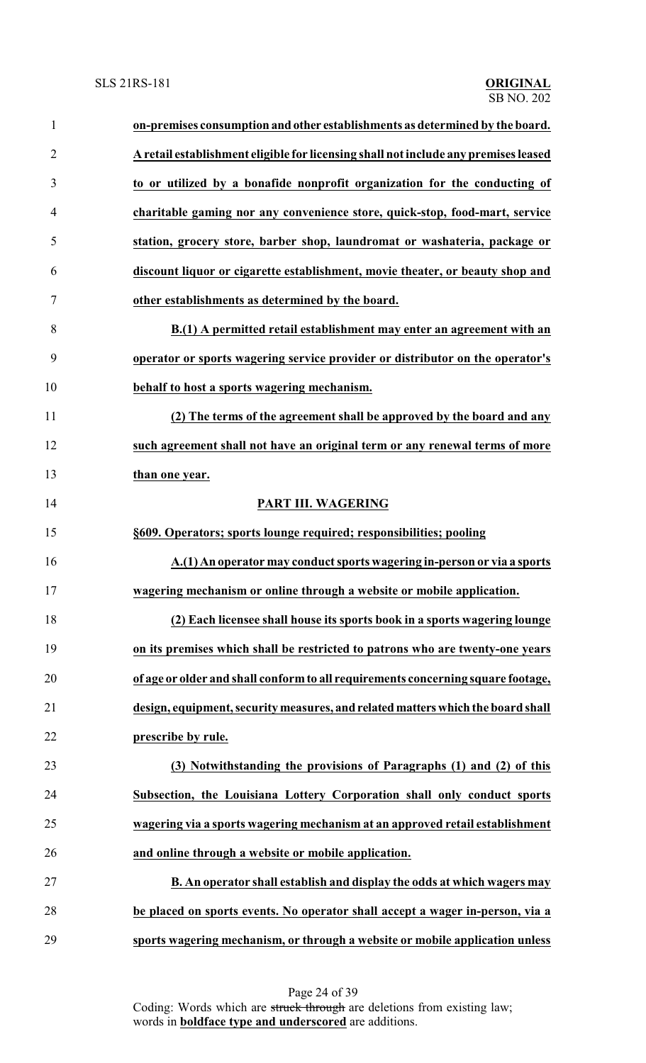| $\mathbf{1}$   | on-premises consumption and other establishments as determined by the board.        |
|----------------|-------------------------------------------------------------------------------------|
| $\overline{2}$ | A retail establishment eligible for licensing shall not include any premises leased |
| 3              | to or utilized by a bonafide nonprofit organization for the conducting of           |
| 4              | charitable gaming nor any convenience store, quick-stop, food-mart, service         |
| 5              | station, grocery store, barber shop, laundromat or washateria, package or           |
| 6              | discount liquor or cigarette establishment, movie theater, or beauty shop and       |
| 7              | other establishments as determined by the board.                                    |
| 8              | B.(1) A permitted retail establishment may enter an agreement with an               |
| 9              | operator or sports wagering service provider or distributor on the operator's       |
| 10             | behalf to host a sports wagering mechanism.                                         |
| 11             | (2) The terms of the agreement shall be approved by the board and any               |
| 12             | such agreement shall not have an original term or any renewal terms of more         |
| 13             | than one year.                                                                      |
| 14             | PART III. WAGERING                                                                  |
| 15             | §609. Operators; sports lounge required; responsibilities; pooling                  |
| 16             | A.(1) An operator may conduct sports wagering in-person or via a sports             |
| 17             | wagering mechanism or online through a website or mobile application.               |
| 18             | (2) Each licensee shall house its sports book in a sports wagering lounge           |
| 19             | on its premises which shall be restricted to patrons who are twenty-one years       |
| 20             | of age or older and shall conform to all requirements concerning square footage,    |
| 21             | design, equipment, security measures, and related matters which the board shall     |
| 22             | prescribe by rule.                                                                  |
| 23             | (3) Notwithstanding the provisions of Paragraphs (1) and (2) of this                |
| 24             | Subsection, the Louisiana Lottery Corporation shall only conduct sports             |
| 25             | wagering via a sports wagering mechanism at an approved retail establishment        |
| 26             | and online through a website or mobile application.                                 |
| 27             | B. An operator shall establish and display the odds at which wagers may             |
| 28             | be placed on sports events. No operator shall accept a wager in-person, via a       |
| 29             | sports wagering mechanism, or through a website or mobile application unless        |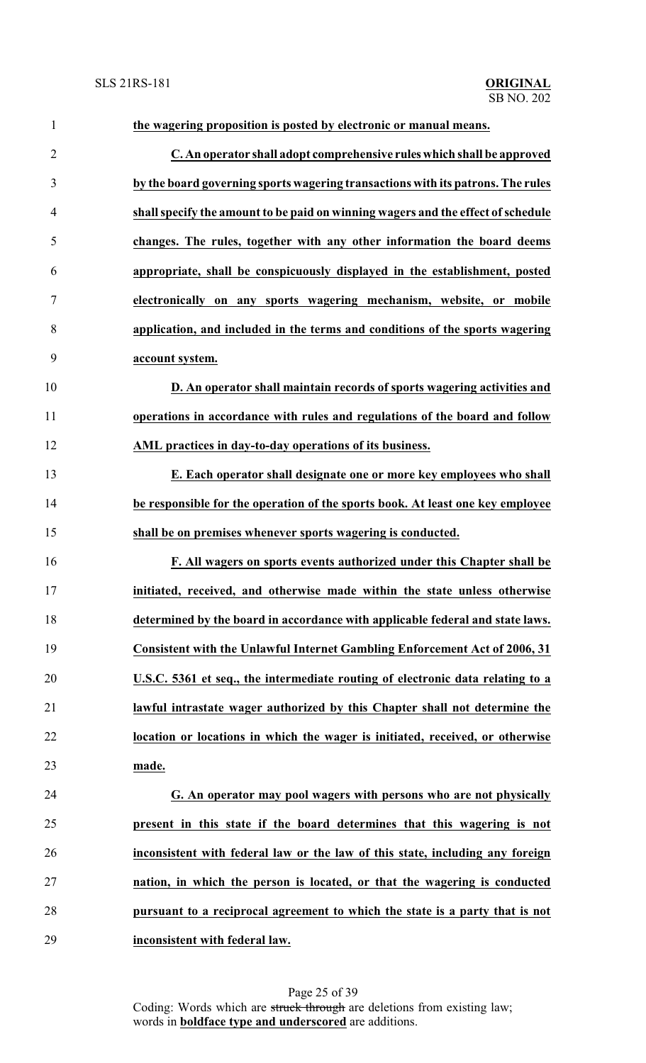| $\mathbf{1}$   | the wagering proposition is posted by electronic or manual means.                 |
|----------------|-----------------------------------------------------------------------------------|
| $\overline{2}$ | C. An operator shall adopt comprehensive rules which shall be approved            |
| 3              | by the board governing sports wagering transactions with its patrons. The rules   |
| $\overline{4}$ | shall specify the amount to be paid on winning wagers and the effect of schedule  |
| 5              | changes. The rules, together with any other information the board deems           |
| 6              | appropriate, shall be conspicuously displayed in the establishment, posted        |
| $\tau$         | electronically on any sports wagering mechanism, website, or mobile               |
| 8              | application, and included in the terms and conditions of the sports wagering      |
| 9              | account system.                                                                   |
| 10             | D. An operator shall maintain records of sports wagering activities and           |
| 11             | operations in accordance with rules and regulations of the board and follow       |
| 12             | AML practices in day-to-day operations of its business.                           |
| 13             | E. Each operator shall designate one or more key employees who shall              |
| 14             | be responsible for the operation of the sports book. At least one key employee    |
| 15             | shall be on premises whenever sports wagering is conducted.                       |
| 16             | F. All wagers on sports events authorized under this Chapter shall be             |
| 17             | initiated, received, and otherwise made within the state unless otherwise         |
| 18             | determined by the board in accordance with applicable federal and state laws.     |
| 19             | <b>Consistent with the Unlawful Internet Gambling Enforcement Act of 2006, 31</b> |
| 20             | U.S.C. 5361 et seq., the intermediate routing of electronic data relating to a    |
| 21             | lawful intrastate wager authorized by this Chapter shall not determine the        |
| 22             | location or locations in which the wager is initiated, received, or otherwise     |
| 23             | made.                                                                             |
| 24             | G. An operator may pool wagers with persons who are not physically                |
| 25             | present in this state if the board determines that this wagering is not           |
| 26             | inconsistent with federal law or the law of this state, including any foreign     |
| 27             | nation, in which the person is located, or that the wagering is conducted         |
| 28             | pursuant to a reciprocal agreement to which the state is a party that is not      |
| 29             | inconsistent with federal law.                                                    |

Page 25 of 39 Coding: Words which are struck through are deletions from existing law; words in **boldface type and underscored** are additions.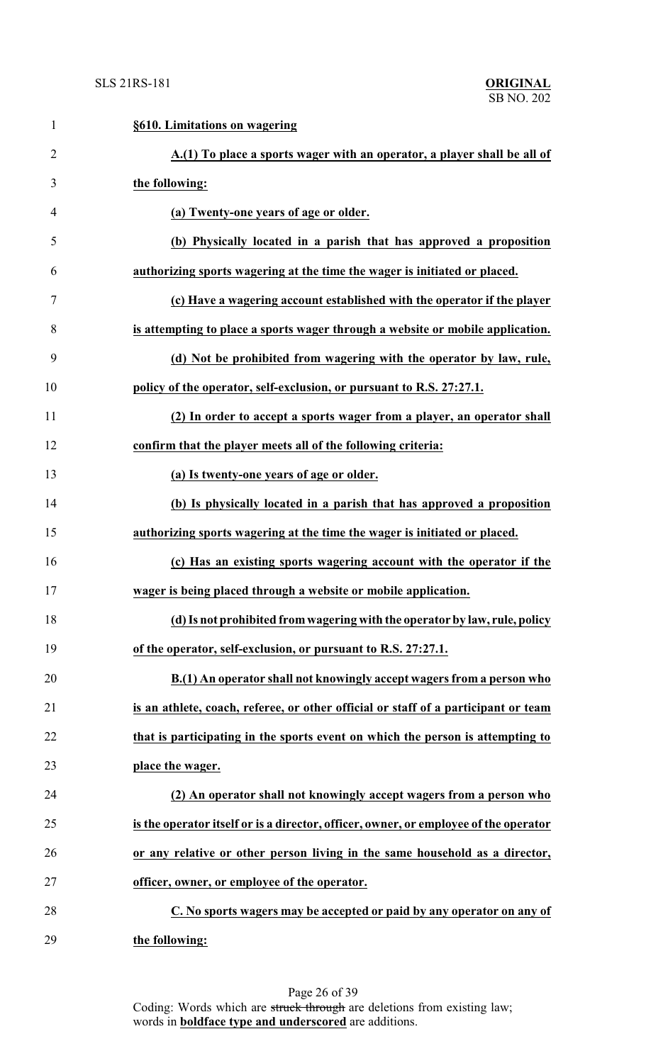| 1              | §610. Limitations on wagering                                                        |
|----------------|--------------------------------------------------------------------------------------|
| $\overline{2}$ | A.(1) To place a sports wager with an operator, a player shall be all of             |
| 3              | the following:                                                                       |
| 4              | (a) Twenty-one years of age or older.                                                |
| 5              | (b) Physically located in a parish that has approved a proposition                   |
| 6              | authorizing sports wagering at the time the wager is initiated or placed.            |
| 7              | (c) Have a wagering account established with the operator if the player              |
| 8              | is attempting to place a sports wager through a website or mobile application.       |
| 9              | (d) Not be prohibited from wagering with the operator by law, rule,                  |
| 10             | policy of the operator, self-exclusion, or pursuant to R.S. 27:27.1.                 |
| 11             | (2) In order to accept a sports wager from a player, an operator shall               |
| 12             | confirm that the player meets all of the following criteria:                         |
| 13             | (a) Is twenty-one years of age or older.                                             |
| 14             | (b) Is physically located in a parish that has approved a proposition                |
| 15             | authorizing sports wagering at the time the wager is initiated or placed.            |
| 16             | (c) Has an existing sports wagering account with the operator if the                 |
| 17             | wager is being placed through a website or mobile application.                       |
| 18             | (d) Is not prohibited from wagering with the operator by law, rule, policy           |
| 19             | of the operator, self-exclusion, or pursuant to R.S. 27:27.1.                        |
| 20             | B.(1) An operator shall not knowingly accept wagers from a person who                |
| 21             | is an athlete, coach, referee, or other official or staff of a participant or team   |
| 22             | that is participating in the sports event on which the person is attempting to       |
| 23             | place the wager.                                                                     |
| 24             | (2) An operator shall not knowingly accept wagers from a person who                  |
| 25             | is the operator itself or is a director, officer, owner, or employee of the operator |
| 26             | or any relative or other person living in the same household as a director,          |
| 27             | officer, owner, or employee of the operator.                                         |
| 28             | C. No sports wagers may be accepted or paid by any operator on any of                |
| 29             | the following:                                                                       |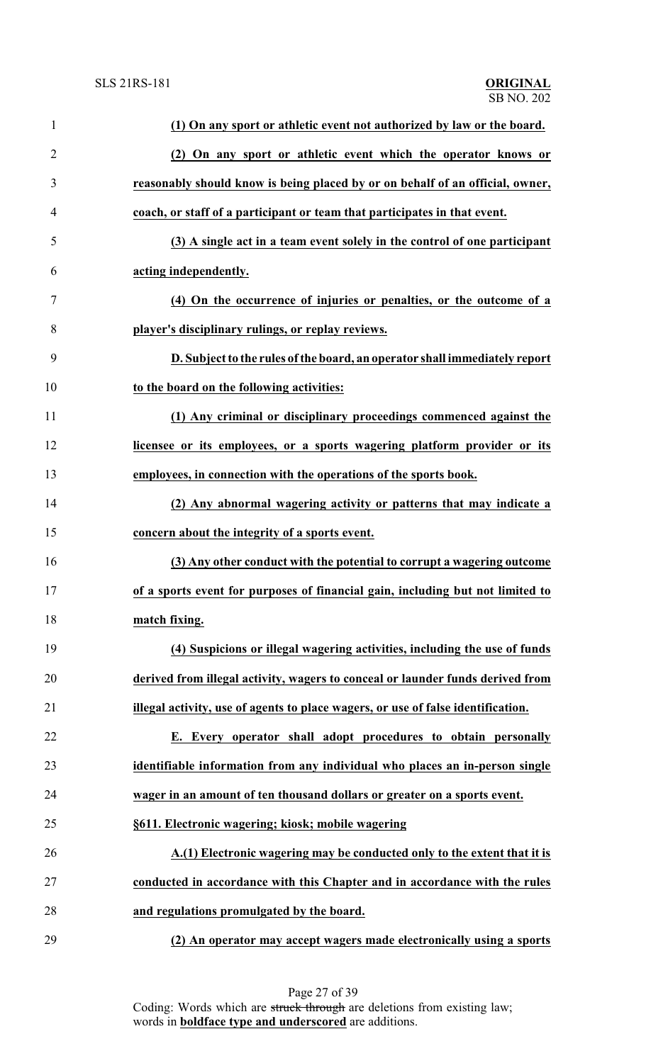| $\mathbf{1}$   | (1) On any sport or athletic event not authorized by law or the board.           |
|----------------|----------------------------------------------------------------------------------|
| $\overline{2}$ | (2) On any sport or athletic event which the operator knows or                   |
| 3              | reasonably should know is being placed by or on behalf of an official, owner,    |
| $\overline{4}$ | coach, or staff of a participant or team that participates in that event.        |
| 5              | (3) A single act in a team event solely in the control of one participant        |
| 6              | acting independently.                                                            |
| 7              | (4) On the occurrence of injuries or penalties, or the outcome of a              |
| 8              | player's disciplinary rulings, or replay reviews.                                |
| 9              | D. Subject to the rules of the board, an operator shall immediately report       |
| 10             | to the board on the following activities:                                        |
| 11             | (1) Any criminal or disciplinary proceedings commenced against the               |
| 12             | licensee or its employees, or a sports wagering platform provider or its         |
| 13             | employees, in connection with the operations of the sports book.                 |
| 14             | (2) Any abnormal wagering activity or patterns that may indicate a               |
| 15             | concern about the integrity of a sports event.                                   |
| 16             | (3) Any other conduct with the potential to corrupt a wagering outcome           |
| 17             | of a sports event for purposes of financial gain, including but not limited to   |
| 18             | match fixing.                                                                    |
| 19             | (4) Suspicions or illegal wagering activities, including the use of funds        |
| 20             | derived from illegal activity, wagers to conceal or launder funds derived from   |
| 21             | illegal activity, use of agents to place wagers, or use of false identification. |
| 22             | E. Every operator shall adopt procedures to obtain personally                    |
| 23             | identifiable information from any individual who places an in-person single      |
| 24             | wager in an amount of ten thousand dollars or greater on a sports event.         |
| 25             | §611. Electronic wagering; kiosk; mobile wagering                                |
| 26             | A.(1) Electronic wagering may be conducted only to the extent that it is         |
| 27             | conducted in accordance with this Chapter and in accordance with the rules       |
| 28             | and regulations promulgated by the board.                                        |
| 29             | (2) An operator may accept wagers made electronically using a sports             |

Page 27 of 39 Coding: Words which are struck through are deletions from existing law; words in **boldface type and underscored** are additions.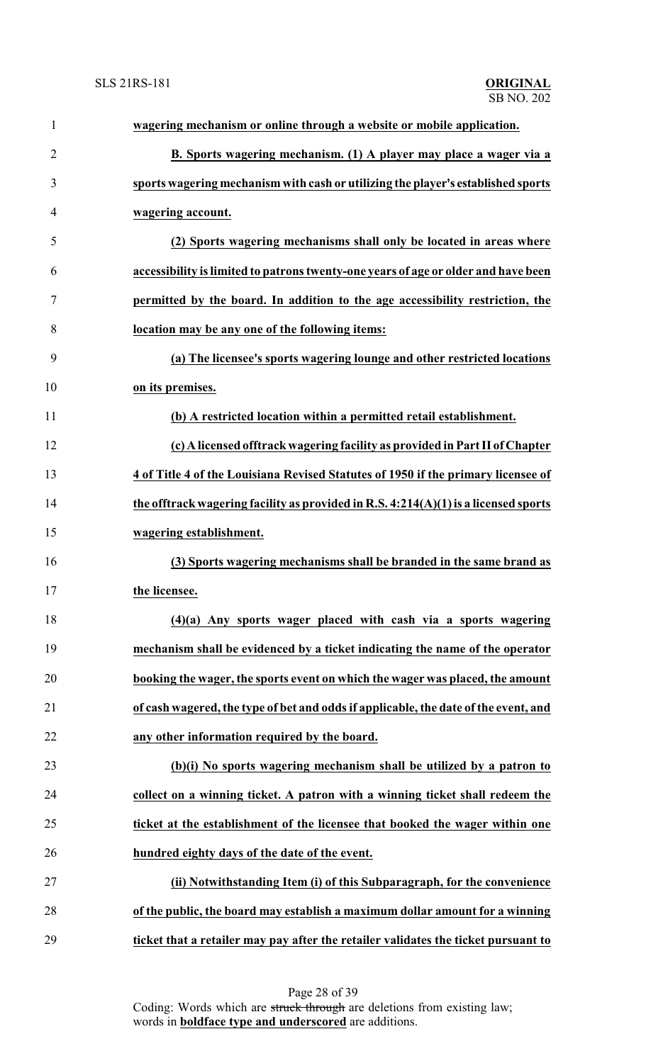| 1              | wagering mechanism or online through a website or mobile application.                 |
|----------------|---------------------------------------------------------------------------------------|
| $\overline{2}$ | B. Sports wagering mechanism. (1) A player may place a wager via a                    |
| 3              | sports wagering mechanism with cash or utilizing the player's established sports      |
| 4              | wagering account.                                                                     |
| 5              | (2) Sports wagering mechanisms shall only be located in areas where                   |
| 6              | accessibility is limited to patrons twenty-one years of age or older and have been    |
| 7              | permitted by the board. In addition to the age accessibility restriction, the         |
| 8              | location may be any one of the following items:                                       |
| 9              | (a) The licensee's sports wagering lounge and other restricted locations              |
| 10             | on its premises.                                                                      |
| 11             | (b) A restricted location within a permitted retail establishment.                    |
| 12             | (c) A licensed offtrack wagering facility as provided in Part II of Chapter           |
| 13             | 4 of Title 4 of the Louisiana Revised Statutes of 1950 if the primary licensee of     |
| 14             | the offtrack wagering facility as provided in R.S. $4:214(A)(1)$ is a licensed sports |
| 15             | wagering establishment.                                                               |
| 16             | (3) Sports wagering mechanisms shall be branded in the same brand as                  |
| 17             | the licensee.                                                                         |
| 18             | $(4)(a)$ Any sports wager placed with cash via a sports wagering                      |
| 19             | mechanism shall be evidenced by a ticket indicating the name of the operator          |
| 20             | booking the wager, the sports event on which the wager was placed, the amount         |
| 21             | of cash wagered, the type of bet and odds if applicable, the date of the event, and   |
| 22             | any other information required by the board.                                          |
| 23             | (b)(i) No sports wagering mechanism shall be utilized by a patron to                  |
| 24             | collect on a winning ticket. A patron with a winning ticket shall redeem the          |
| 25             | ticket at the establishment of the licensee that booked the wager within one          |
| 26             | hundred eighty days of the date of the event.                                         |
| 27             | (ii) Notwithstanding Item (i) of this Subparagraph, for the convenience               |
| 28             | of the public, the board may establish a maximum dollar amount for a winning          |
| 29             | ticket that a retailer may pay after the retailer validates the ticket pursuant to    |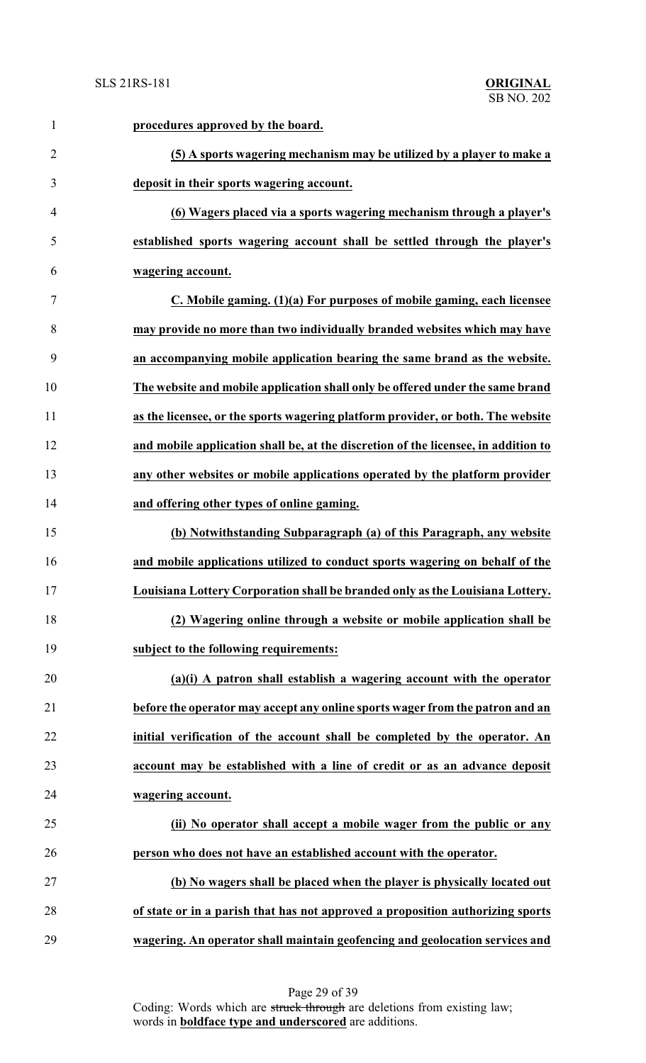| $\mathbf{1}$   | procedures approved by the board.                                                  |
|----------------|------------------------------------------------------------------------------------|
| $\overline{2}$ | (5) A sports wagering mechanism may be utilized by a player to make a              |
| 3              | deposit in their sports wagering account.                                          |
| $\overline{4}$ | (6) Wagers placed via a sports wagering mechanism through a player's               |
| 5              | established sports wagering account shall be settled through the player's          |
| 6              | wagering account.                                                                  |
| $\tau$         | C. Mobile gaming. (1)(a) For purposes of mobile gaming, each licensee              |
| 8              | may provide no more than two individually branded websites which may have          |
| 9              | an accompanying mobile application bearing the same brand as the website.          |
| 10             | The website and mobile application shall only be offered under the same brand      |
| 11             | as the licensee, or the sports wagering platform provider, or both. The website    |
| 12             | and mobile application shall be, at the discretion of the licensee, in addition to |
| 13             | any other websites or mobile applications operated by the platform provider        |
| 14             | and offering other types of online gaming.                                         |
| 15             | (b) Notwithstanding Subparagraph (a) of this Paragraph, any website                |
| 16             | and mobile applications utilized to conduct sports wagering on behalf of the       |
| 17             | Louisiana Lottery Corporation shall be branded only as the Louisiana Lottery.      |
| 18             | (2) Wagering online through a website or mobile application shall be               |
| 19             | subject to the following requirements:                                             |
| 20             | (a)(i) A patron shall establish a wagering account with the operator               |
| 21             | before the operator may accept any online sports wager from the patron and an      |
| 22             | initial verification of the account shall be completed by the operator. An         |
| 23             | account may be established with a line of credit or as an advance deposit          |
| 24             | wagering account.                                                                  |
| 25             | (ii) No operator shall accept a mobile wager from the public or any                |
| 26             | person who does not have an established account with the operator.                 |
| 27             | (b) No wagers shall be placed when the player is physically located out            |
| 28             | of state or in a parish that has not approved a proposition authorizing sports     |
| 29             | wagering. An operator shall maintain geofencing and geolocation services and       |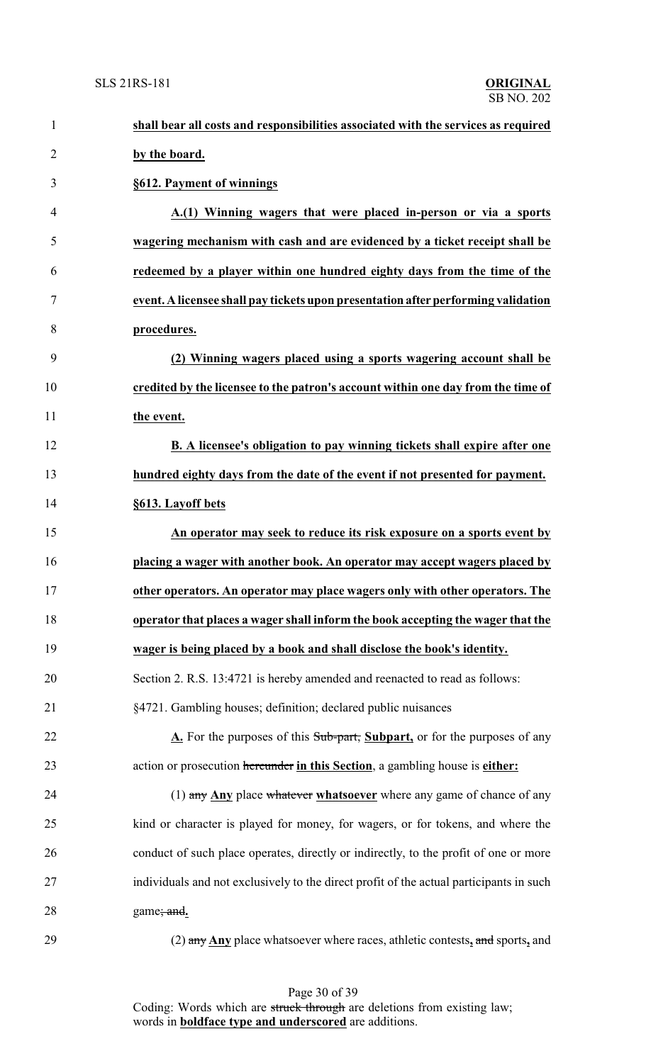| $\mathbf{1}$   | shall bear all costs and responsibilities associated with the services as required      |
|----------------|-----------------------------------------------------------------------------------------|
| $\overline{2}$ | by the board.                                                                           |
| 3              | §612. Payment of winnings                                                               |
| $\overline{4}$ | A.(1) Winning wagers that were placed in-person or via a sports                         |
| 5              | wagering mechanism with cash and are evidenced by a ticket receipt shall be             |
| 6              | redeemed by a player within one hundred eighty days from the time of the                |
| $\tau$         | event. A licensee shall pay tickets upon presentation after performing validation       |
| 8              | procedures.                                                                             |
| 9              | (2) Winning wagers placed using a sports wagering account shall be                      |
| 10             | credited by the licensee to the patron's account within one day from the time of        |
| 11             | the event.                                                                              |
| 12             | B. A licensee's obligation to pay winning tickets shall expire after one                |
| 13             | hundred eighty days from the date of the event if not presented for payment.            |
| 14             | §613. Layoff bets                                                                       |
| 15             | An operator may seek to reduce its risk exposure on a sports event by                   |
| 16             | placing a wager with another book. An operator may accept wagers placed by              |
| 17             | other operators. An operator may place wagers only with other operators. The            |
| 18             | operator that places a wager shall inform the book accepting the wager that the         |
| 19             | wager is being placed by a book and shall disclose the book's identity.                 |
| 20             | Section 2. R.S. 13:4721 is hereby amended and reenacted to read as follows:             |
| 21             | §4721. Gambling houses; definition; declared public nuisances                           |
| 22             | A. For the purposes of this Sub-part, Subpart, or for the purposes of any               |
| 23             | action or prosecution hereunder in this Section, a gambling house is either:            |
| 24             | $(1)$ any Any place whatever whatsoever where any game of chance of any                 |
| 25             | kind or character is played for money, for wagers, or for tokens, and where the         |
| 26             | conduct of such place operates, directly or indirectly, to the profit of one or more    |
| 27             | individuals and not exclusively to the direct profit of the actual participants in such |
| 28             | game; and.                                                                              |
| $\Omega$       | ex Aprilee whatsoeverwhere reese ethletic certain and grows and                         |

(2) any **Any** place whatsoever where races, athletic contests**,** and sports**,** and

Page 30 of 39 Coding: Words which are struck through are deletions from existing law; words in **boldface type and underscored** are additions.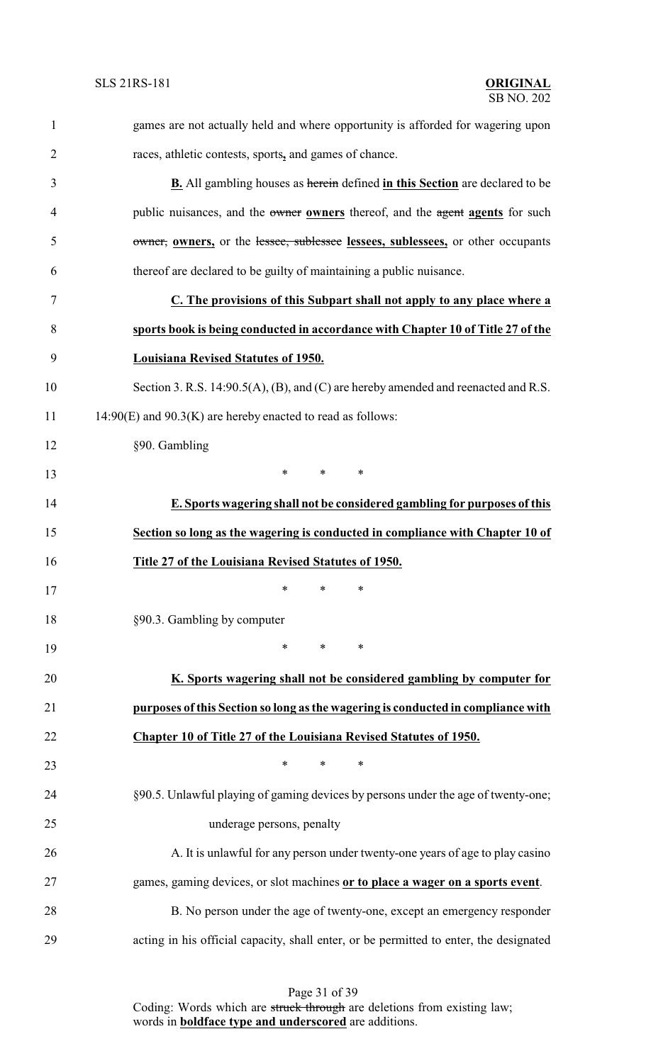| $\mathbf{1}$   | games are not actually held and where opportunity is afforded for wagering upon        |
|----------------|----------------------------------------------------------------------------------------|
| $\overline{2}$ | races, athletic contests, sports, and games of chance.                                 |
| 3              | <b>B.</b> All gambling houses as herein defined in this Section are declared to be     |
| $\overline{4}$ | public nuisances, and the owner owners thereof, and the agent agents for such          |
| 5              | owner, owners, or the lessee, sublessee lessees, sublessees, or other occupants        |
| 6              | thereof are declared to be guilty of maintaining a public nuisance.                    |
| 7              | C. The provisions of this Subpart shall not apply to any place where a                 |
| 8              | sports book is being conducted in accordance with Chapter 10 of Title 27 of the        |
| 9              | <b>Louisiana Revised Statutes of 1950.</b>                                             |
| 10             | Section 3. R.S. 14:90.5(A), (B), and (C) are hereby amended and reenacted and R.S.     |
| 11             | $14:90(E)$ and $90.3(K)$ are hereby enacted to read as follows:                        |
| 12             | §90. Gambling                                                                          |
| 13             | $\ast$<br>$\ast$<br>$\ast$                                                             |
| 14             | E. Sports wagering shall not be considered gambling for purposes of this               |
| 15             | Section so long as the wagering is conducted in compliance with Chapter 10 of          |
| 16             | Title 27 of the Louisiana Revised Statutes of 1950.                                    |
| 17             | ∗<br>∗<br>∗                                                                            |
| 18             | §90.3. Gambling by computer                                                            |
| 19             | $\ast$<br>$\ast$<br>∗                                                                  |
| 20             | K. Sports wagering shall not be considered gambling by computer for                    |
| 21             | purposes of this Section so long as the wagering is conducted in compliance with       |
| 22             | Chapter 10 of Title 27 of the Louisiana Revised Statutes of 1950.                      |
| 23             | ∗<br>∗<br>∗                                                                            |
| 24             | §90.5. Unlawful playing of gaming devices by persons under the age of twenty-one;      |
| 25             | underage persons, penalty                                                              |
| 26             | A. It is unlawful for any person under twenty-one years of age to play casino          |
| 27             | games, gaming devices, or slot machines or to place a wager on a sports event.         |
| 28             | B. No person under the age of twenty-one, except an emergency responder                |
| 29             | acting in his official capacity, shall enter, or be permitted to enter, the designated |

Page 31 of 39

Coding: Words which are struck through are deletions from existing law; words in **boldface type and underscored** are additions.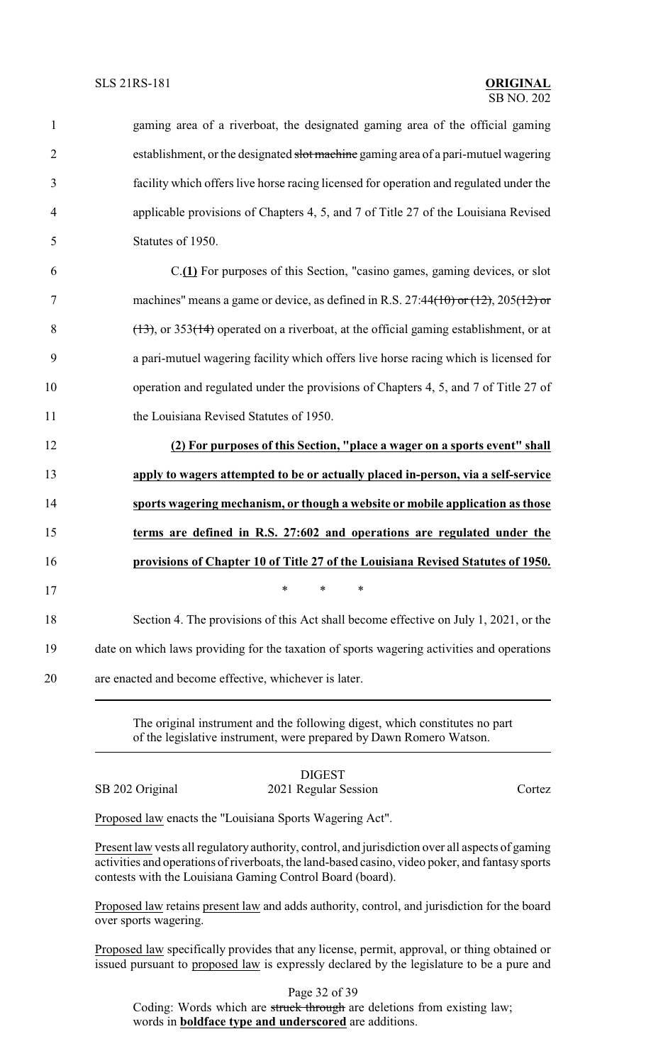| $\mathbf{1}$   | gaming area of a riverboat, the designated gaming area of the official gaming              |
|----------------|--------------------------------------------------------------------------------------------|
| $\overline{2}$ | establishment, or the designated slot machine gaming area of a pari-mutuel wagering        |
| 3              | facility which offers live horse racing licensed for operation and regulated under the     |
| $\overline{4}$ | applicable provisions of Chapters 4, 5, and 7 of Title 27 of the Louisiana Revised         |
| 5              | Statutes of 1950.                                                                          |
| 6              | C.(1) For purposes of this Section, "casino games, gaming devices, or slot                 |
| $\tau$         | machines" means a game or device, as defined in R.S. 27:44(10) or (12), 205(12) or         |
| 8              | $(13)$ , or 353(14) operated on a riverboat, at the official gaming establishment, or at   |
| 9              | a pari-mutuel wagering facility which offers live horse racing which is licensed for       |
| 10             | operation and regulated under the provisions of Chapters 4, 5, and 7 of Title 27 of        |
| 11             | the Louisiana Revised Statutes of 1950.                                                    |
| 12             | (2) For purposes of this Section, "place a wager on a sports event" shall                  |
| 13             | apply to wagers attempted to be or actually placed in-person, via a self-service           |
| 14             | sports wagering mechanism, or though a website or mobile application as those              |
| 15             | terms are defined in R.S. 27:602 and operations are regulated under the                    |
| 16             | provisions of Chapter 10 of Title 27 of the Louisiana Revised Statutes of 1950.            |
| 17             | $\stackrel{\star}{\ast}$ $\stackrel{\star}{\ast}$ $\stackrel{\star}{\ast}$                 |
| 18             | Section 4. The provisions of this Act shall become effective on July 1, 2021, or the       |
| 19             | date on which laws providing for the taxation of sports wagering activities and operations |
| 20             | are enacted and become effective, whichever is later.                                      |
|                |                                                                                            |

The original instrument and the following digest, which constitutes no part of the legislative instrument, were prepared by Dawn Romero Watson.

DIGEST SB 202 Original 2021 Regular Session Cortez

Proposed law enacts the "Louisiana Sports Wagering Act".

Present law vests all regulatory authority, control, and jurisdiction over all aspects of gaming activities and operations of riverboats, the land-based casino, video poker, and fantasy sports contests with the Louisiana Gaming Control Board (board).

Proposed law retains present law and adds authority, control, and jurisdiction for the board over sports wagering.

Proposed law specifically provides that any license, permit, approval, or thing obtained or issued pursuant to proposed law is expressly declared by the legislature to be a pure and

Page 32 of 39 Coding: Words which are struck through are deletions from existing law; words in **boldface type and underscored** are additions.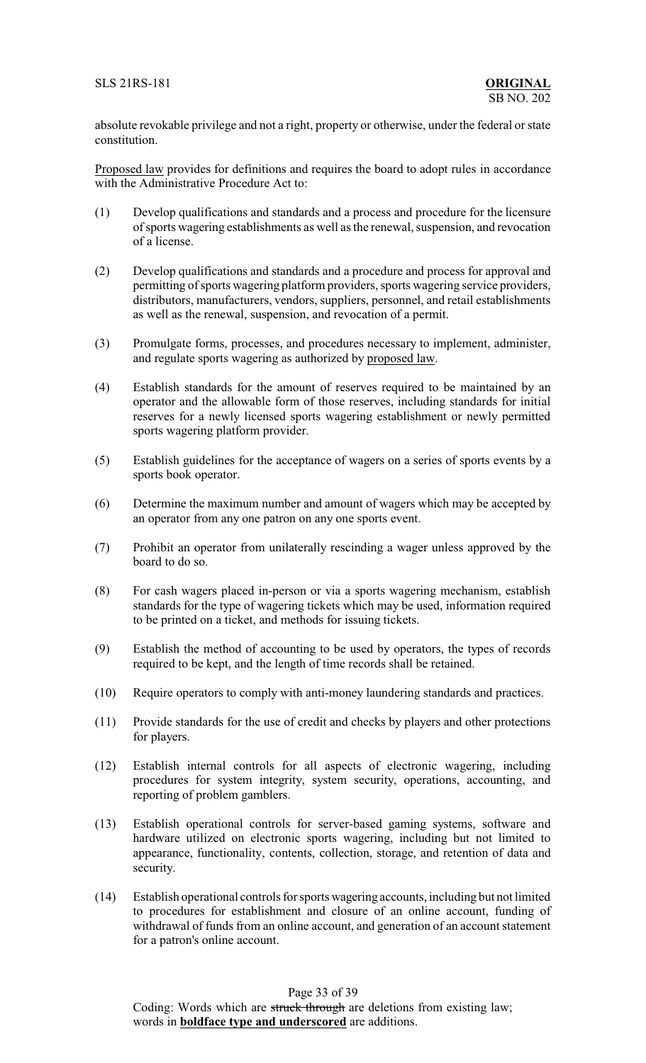absolute revokable privilege and not a right, property or otherwise, under the federal or state constitution.

Proposed law provides for definitions and requires the board to adopt rules in accordance with the Administrative Procedure Act to:

- (1) Develop qualifications and standards and a process and procedure for the licensure of sports wagering establishments as well as the renewal, suspension, and revocation of a license.
- (2) Develop qualifications and standards and a procedure and process for approval and permitting of sports wagering platform providers, sports wagering service providers, distributors, manufacturers, vendors, suppliers, personnel, and retail establishments as well as the renewal, suspension, and revocation of a permit.
- (3) Promulgate forms, processes, and procedures necessary to implement, administer, and regulate sports wagering as authorized by proposed law.
- (4) Establish standards for the amount of reserves required to be maintained by an operator and the allowable form of those reserves, including standards for initial reserves for a newly licensed sports wagering establishment or newly permitted sports wagering platform provider.
- (5) Establish guidelines for the acceptance of wagers on a series of sports events by a sports book operator.
- (6) Determine the maximum number and amount of wagers which may be accepted by an operator from any one patron on any one sports event.
- (7) Prohibit an operator from unilaterally rescinding a wager unless approved by the board to do so.
- (8) For cash wagers placed in-person or via a sports wagering mechanism, establish standards for the type of wagering tickets which may be used, information required to be printed on a ticket, and methods for issuing tickets.
- (9) Establish the method of accounting to be used by operators, the types of records required to be kept, and the length of time records shall be retained.
- (10) Require operators to comply with anti-money laundering standards and practices.
- (11) Provide standards for the use of credit and checks by players and other protections for players.
- (12) Establish internal controls for all aspects of electronic wagering, including procedures for system integrity, system security, operations, accounting, and reporting of problem gamblers.
- (13) Establish operational controls for server-based gaming systems, software and hardware utilized on electronic sports wagering, including but not limited to appearance, functionality, contents, collection, storage, and retention of data and security.
- (14) Establish operational controls for sports wagering accounts, including but not limited to procedures for establishment and closure of an online account, funding of withdrawal of funds from an online account, and generation of an account statement for a patron's online account.

Page 33 of 39

Coding: Words which are struck through are deletions from existing law; words in **boldface type and underscored** are additions.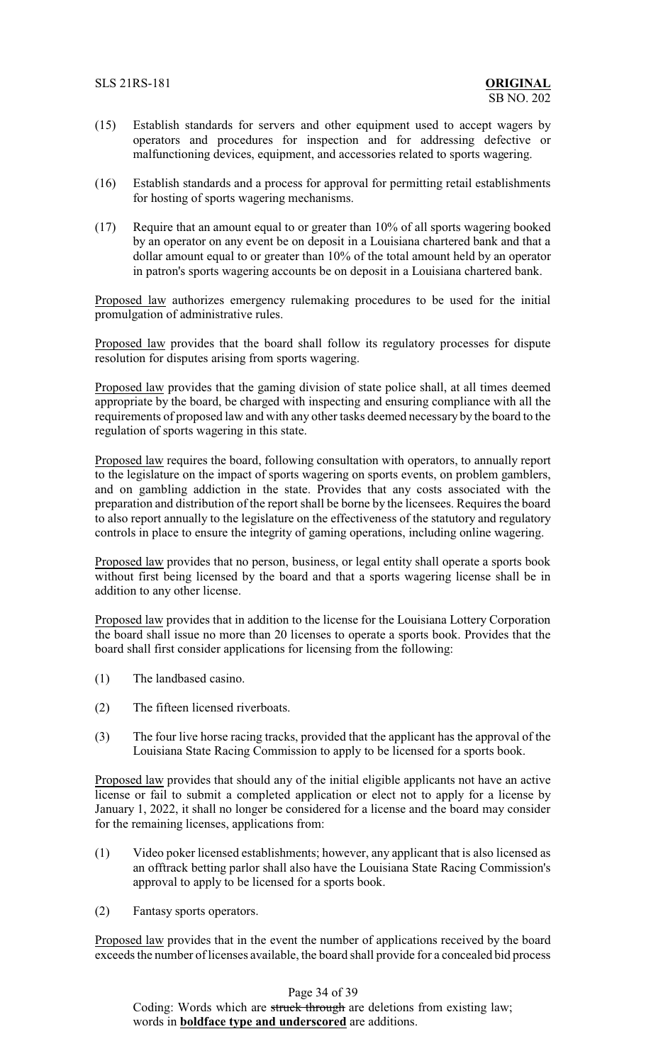- (15) Establish standards for servers and other equipment used to accept wagers by operators and procedures for inspection and for addressing defective or malfunctioning devices, equipment, and accessories related to sports wagering.
- (16) Establish standards and a process for approval for permitting retail establishments for hosting of sports wagering mechanisms.
- (17) Require that an amount equal to or greater than 10% of all sports wagering booked by an operator on any event be on deposit in a Louisiana chartered bank and that a dollar amount equal to or greater than 10% of the total amount held by an operator in patron's sports wagering accounts be on deposit in a Louisiana chartered bank.

Proposed law authorizes emergency rulemaking procedures to be used for the initial promulgation of administrative rules.

Proposed law provides that the board shall follow its regulatory processes for dispute resolution for disputes arising from sports wagering.

Proposed law provides that the gaming division of state police shall, at all times deemed appropriate by the board, be charged with inspecting and ensuring compliance with all the requirements of proposed law and with any other tasks deemed necessary by the board to the regulation of sports wagering in this state.

Proposed law requires the board, following consultation with operators, to annually report to the legislature on the impact of sports wagering on sports events, on problem gamblers, and on gambling addiction in the state. Provides that any costs associated with the preparation and distribution of the report shall be borne by the licensees. Requires the board to also report annually to the legislature on the effectiveness of the statutory and regulatory controls in place to ensure the integrity of gaming operations, including online wagering.

Proposed law provides that no person, business, or legal entity shall operate a sports book without first being licensed by the board and that a sports wagering license shall be in addition to any other license.

Proposed law provides that in addition to the license for the Louisiana Lottery Corporation the board shall issue no more than 20 licenses to operate a sports book. Provides that the board shall first consider applications for licensing from the following:

- (1) The landbased casino.
- (2) The fifteen licensed riverboats.
- (3) The four live horse racing tracks, provided that the applicant has the approval of the Louisiana State Racing Commission to apply to be licensed for a sports book.

Proposed law provides that should any of the initial eligible applicants not have an active license or fail to submit a completed application or elect not to apply for a license by January 1, 2022, it shall no longer be considered for a license and the board may consider for the remaining licenses, applications from:

- (1) Video poker licensed establishments; however, any applicant that is also licensed as an offtrack betting parlor shall also have the Louisiana State Racing Commission's approval to apply to be licensed for a sports book.
- (2) Fantasy sports operators.

Proposed law provides that in the event the number of applications received by the board exceeds the number of licenses available, the board shall provide for a concealed bid process

Page 34 of 39

Coding: Words which are struck through are deletions from existing law; words in **boldface type and underscored** are additions.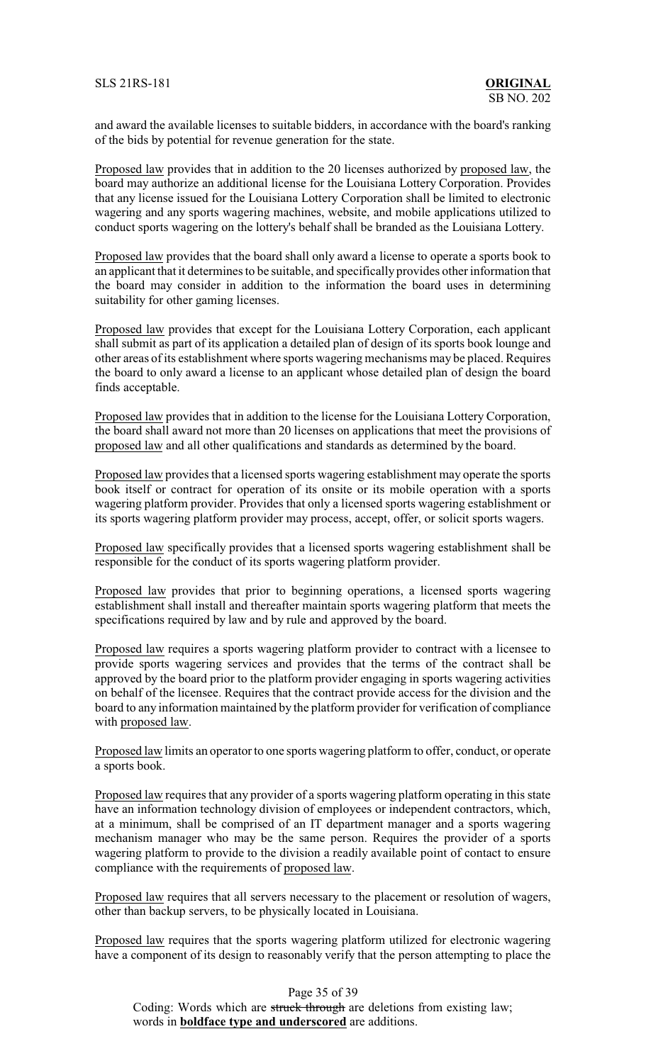and award the available licenses to suitable bidders, in accordance with the board's ranking of the bids by potential for revenue generation for the state.

Proposed law provides that in addition to the 20 licenses authorized by proposed law, the board may authorize an additional license for the Louisiana Lottery Corporation. Provides that any license issued for the Louisiana Lottery Corporation shall be limited to electronic wagering and any sports wagering machines, website, and mobile applications utilized to conduct sports wagering on the lottery's behalf shall be branded as the Louisiana Lottery.

Proposed law provides that the board shall only award a license to operate a sports book to an applicant that it determines to be suitable, and specifically provides other information that the board may consider in addition to the information the board uses in determining suitability for other gaming licenses.

Proposed law provides that except for the Louisiana Lottery Corporation, each applicant shall submit as part of its application a detailed plan of design of its sports book lounge and other areas of its establishment where sports wagering mechanisms may be placed. Requires the board to only award a license to an applicant whose detailed plan of design the board finds acceptable.

Proposed law provides that in addition to the license for the Louisiana Lottery Corporation, the board shall award not more than 20 licenses on applications that meet the provisions of proposed law and all other qualifications and standards as determined by the board.

Proposed law provides that a licensed sports wagering establishment may operate the sports book itself or contract for operation of its onsite or its mobile operation with a sports wagering platform provider. Provides that only a licensed sports wagering establishment or its sports wagering platform provider may process, accept, offer, or solicit sports wagers.

Proposed law specifically provides that a licensed sports wagering establishment shall be responsible for the conduct of its sports wagering platform provider.

Proposed law provides that prior to beginning operations, a licensed sports wagering establishment shall install and thereafter maintain sports wagering platform that meets the specifications required by law and by rule and approved by the board.

Proposed law requires a sports wagering platform provider to contract with a licensee to provide sports wagering services and provides that the terms of the contract shall be approved by the board prior to the platform provider engaging in sports wagering activities on behalf of the licensee. Requires that the contract provide access for the division and the board to any information maintained by the platform provider for verification of compliance with proposed law.

Proposed law limits an operator to one sports wagering platform to offer, conduct, or operate a sports book.

Proposed law requires that any provider of a sports wagering platform operating in this state have an information technology division of employees or independent contractors, which, at a minimum, shall be comprised of an IT department manager and a sports wagering mechanism manager who may be the same person. Requires the provider of a sports wagering platform to provide to the division a readily available point of contact to ensure compliance with the requirements of proposed law.

Proposed law requires that all servers necessary to the placement or resolution of wagers, other than backup servers, to be physically located in Louisiana.

Proposed law requires that the sports wagering platform utilized for electronic wagering have a component of its design to reasonably verify that the person attempting to place the

Page 35 of 39 Coding: Words which are struck through are deletions from existing law; words in **boldface type and underscored** are additions.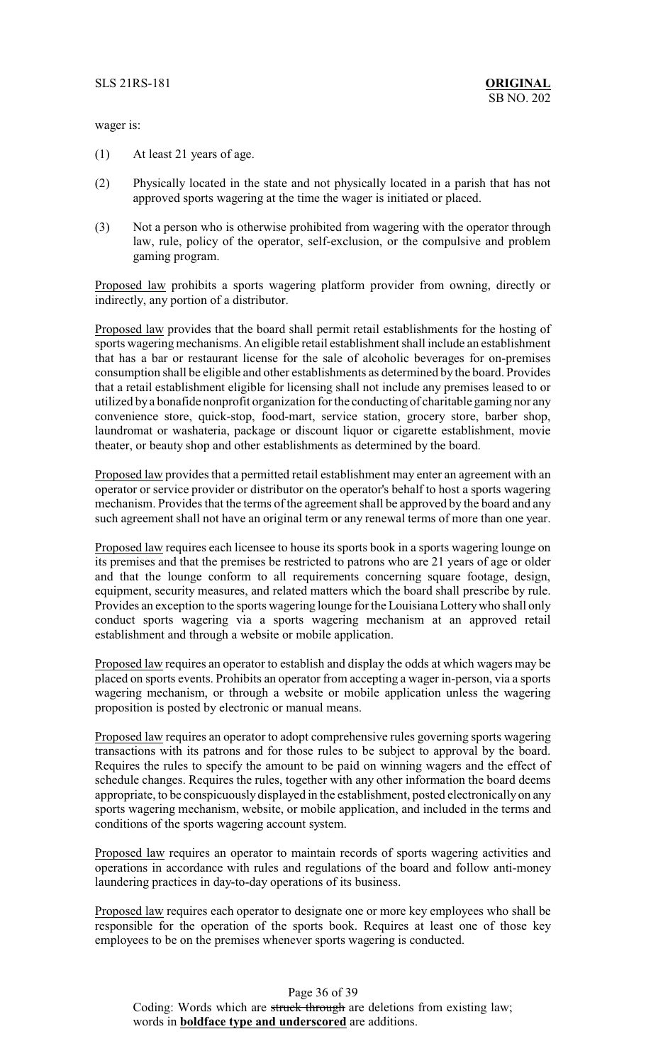wager is:

- (1) At least 21 years of age.
- (2) Physically located in the state and not physically located in a parish that has not approved sports wagering at the time the wager is initiated or placed.
- (3) Not a person who is otherwise prohibited from wagering with the operator through law, rule, policy of the operator, self-exclusion, or the compulsive and problem gaming program.

Proposed law prohibits a sports wagering platform provider from owning, directly or indirectly, any portion of a distributor.

Proposed law provides that the board shall permit retail establishments for the hosting of sports wagering mechanisms. An eligible retail establishment shall include an establishment that has a bar or restaurant license for the sale of alcoholic beverages for on-premises consumption shall be eligible and other establishments as determined by the board. Provides that a retail establishment eligible for licensing shall not include any premises leased to or utilized by a bonafide nonprofit organization for the conducting of charitable gaming nor any convenience store, quick-stop, food-mart, service station, grocery store, barber shop, laundromat or washateria, package or discount liquor or cigarette establishment, movie theater, or beauty shop and other establishments as determined by the board.

Proposed law provides that a permitted retail establishment may enter an agreement with an operator or service provider or distributor on the operator's behalf to host a sports wagering mechanism. Provides that the terms of the agreement shall be approved by the board and any such agreement shall not have an original term or any renewal terms of more than one year.

Proposed law requires each licensee to house its sports book in a sports wagering lounge on its premises and that the premises be restricted to patrons who are 21 years of age or older and that the lounge conform to all requirements concerning square footage, design, equipment, security measures, and related matters which the board shall prescribe by rule. Provides an exception to the sports wagering lounge for the Louisiana Lotterywho shall only conduct sports wagering via a sports wagering mechanism at an approved retail establishment and through a website or mobile application.

Proposed law requires an operator to establish and display the odds at which wagers may be placed on sports events. Prohibits an operator from accepting a wager in-person, via a sports wagering mechanism, or through a website or mobile application unless the wagering proposition is posted by electronic or manual means.

Proposed law requires an operator to adopt comprehensive rules governing sports wagering transactions with its patrons and for those rules to be subject to approval by the board. Requires the rules to specify the amount to be paid on winning wagers and the effect of schedule changes. Requires the rules, together with any other information the board deems appropriate, to be conspicuouslydisplayed in the establishment, posted electronically on any sports wagering mechanism, website, or mobile application, and included in the terms and conditions of the sports wagering account system.

Proposed law requires an operator to maintain records of sports wagering activities and operations in accordance with rules and regulations of the board and follow anti-money laundering practices in day-to-day operations of its business.

Proposed law requires each operator to designate one or more key employees who shall be responsible for the operation of the sports book. Requires at least one of those key employees to be on the premises whenever sports wagering is conducted.

Page 36 of 39 Coding: Words which are struck through are deletions from existing law; words in **boldface type and underscored** are additions.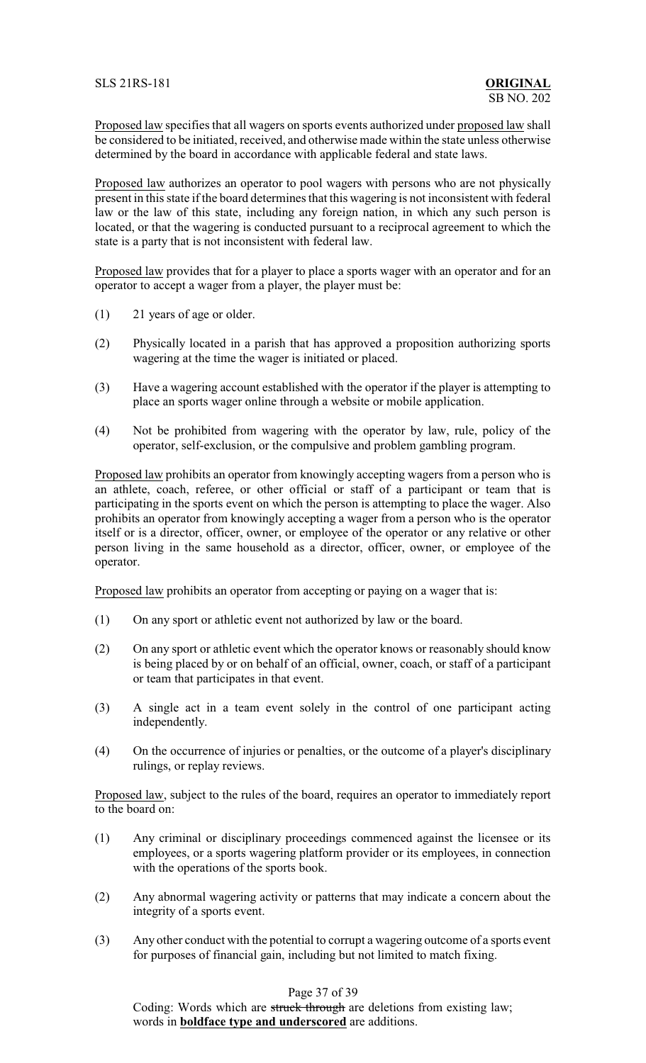Proposed law specifies that all wagers on sports events authorized under proposed law shall be considered to be initiated, received, and otherwise made within the state unless otherwise determined by the board in accordance with applicable federal and state laws.

Proposed law authorizes an operator to pool wagers with persons who are not physically present in this state if the board determines that this wagering is not inconsistent with federal law or the law of this state, including any foreign nation, in which any such person is located, or that the wagering is conducted pursuant to a reciprocal agreement to which the state is a party that is not inconsistent with federal law.

Proposed law provides that for a player to place a sports wager with an operator and for an operator to accept a wager from a player, the player must be:

- (1) 21 years of age or older.
- (2) Physically located in a parish that has approved a proposition authorizing sports wagering at the time the wager is initiated or placed.
- (3) Have a wagering account established with the operator if the player is attempting to place an sports wager online through a website or mobile application.
- (4) Not be prohibited from wagering with the operator by law, rule, policy of the operator, self-exclusion, or the compulsive and problem gambling program.

Proposed law prohibits an operator from knowingly accepting wagers from a person who is an athlete, coach, referee, or other official or staff of a participant or team that is participating in the sports event on which the person is attempting to place the wager. Also prohibits an operator from knowingly accepting a wager from a person who is the operator itself or is a director, officer, owner, or employee of the operator or any relative or other person living in the same household as a director, officer, owner, or employee of the operator.

Proposed law prohibits an operator from accepting or paying on a wager that is:

- (1) On any sport or athletic event not authorized by law or the board.
- (2) On any sport or athletic event which the operator knows or reasonably should know is being placed by or on behalf of an official, owner, coach, or staff of a participant or team that participates in that event.
- (3) A single act in a team event solely in the control of one participant acting independently.
- (4) On the occurrence of injuries or penalties, or the outcome of a player's disciplinary rulings, or replay reviews.

Proposed law, subject to the rules of the board, requires an operator to immediately report to the board on:

- (1) Any criminal or disciplinary proceedings commenced against the licensee or its employees, or a sports wagering platform provider or its employees, in connection with the operations of the sports book.
- (2) Any abnormal wagering activity or patterns that may indicate a concern about the integrity of a sports event.
- (3) Any other conduct with the potential to corrupt a wagering outcome of a sports event for purposes of financial gain, including but not limited to match fixing.

# Page 37 of 39

Coding: Words which are struck through are deletions from existing law; words in **boldface type and underscored** are additions.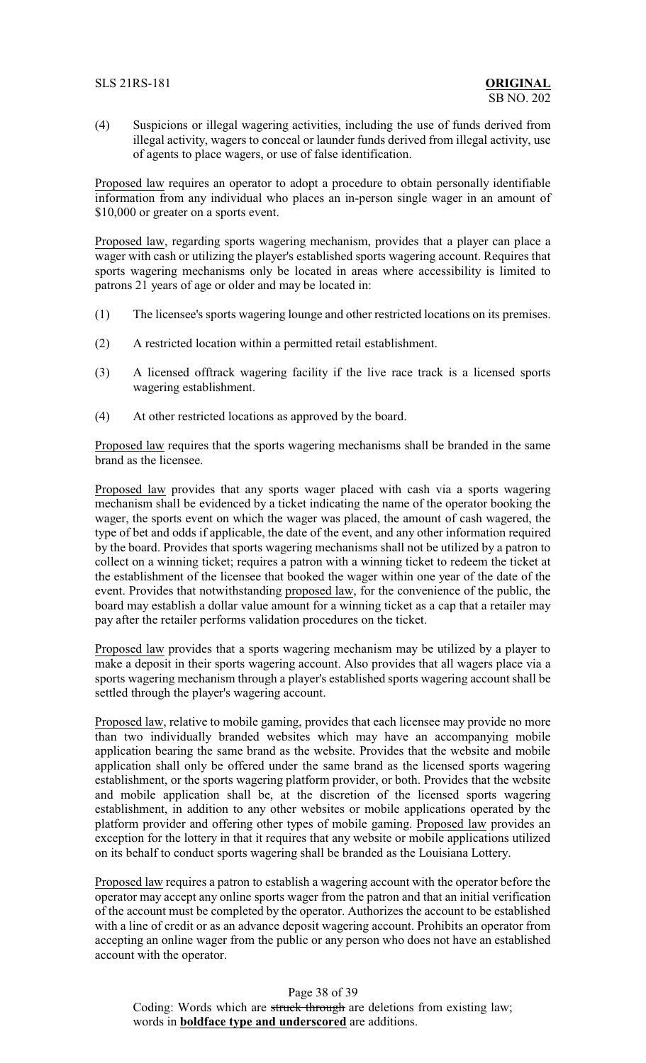### SLS 21RS-181 **ORIGINAL**

(4) Suspicions or illegal wagering activities, including the use of funds derived from illegal activity, wagers to conceal or launder funds derived from illegal activity, use of agents to place wagers, or use of false identification.

Proposed law requires an operator to adopt a procedure to obtain personally identifiable information from any individual who places an in-person single wager in an amount of \$10,000 or greater on a sports event.

Proposed law, regarding sports wagering mechanism, provides that a player can place a wager with cash or utilizing the player's established sports wagering account. Requires that sports wagering mechanisms only be located in areas where accessibility is limited to patrons 21 years of age or older and may be located in:

- (1) The licensee's sports wagering lounge and other restricted locations on its premises.
- (2) A restricted location within a permitted retail establishment.
- (3) A licensed offtrack wagering facility if the live race track is a licensed sports wagering establishment.
- (4) At other restricted locations as approved by the board.

Proposed law requires that the sports wagering mechanisms shall be branded in the same brand as the licensee.

Proposed law provides that any sports wager placed with cash via a sports wagering mechanism shall be evidenced by a ticket indicating the name of the operator booking the wager, the sports event on which the wager was placed, the amount of cash wagered, the type of bet and odds if applicable, the date of the event, and any other information required by the board. Provides that sports wagering mechanisms shall not be utilized by a patron to collect on a winning ticket; requires a patron with a winning ticket to redeem the ticket at the establishment of the licensee that booked the wager within one year of the date of the event. Provides that notwithstanding proposed law, for the convenience of the public, the board may establish a dollar value amount for a winning ticket as a cap that a retailer may pay after the retailer performs validation procedures on the ticket.

Proposed law provides that a sports wagering mechanism may be utilized by a player to make a deposit in their sports wagering account. Also provides that all wagers place via a sports wagering mechanism through a player's established sports wagering account shall be settled through the player's wagering account.

Proposed law, relative to mobile gaming, provides that each licensee may provide no more than two individually branded websites which may have an accompanying mobile application bearing the same brand as the website. Provides that the website and mobile application shall only be offered under the same brand as the licensed sports wagering establishment, or the sports wagering platform provider, or both. Provides that the website and mobile application shall be, at the discretion of the licensed sports wagering establishment, in addition to any other websites or mobile applications operated by the platform provider and offering other types of mobile gaming. Proposed law provides an exception for the lottery in that it requires that any website or mobile applications utilized on its behalf to conduct sports wagering shall be branded as the Louisiana Lottery.

Proposed law requires a patron to establish a wagering account with the operator before the operator may accept any online sports wager from the patron and that an initial verification of the account must be completed by the operator. Authorizes the account to be established with a line of credit or as an advance deposit wagering account. Prohibits an operator from accepting an online wager from the public or any person who does not have an established account with the operator.

Page 38 of 39 Coding: Words which are struck through are deletions from existing law; words in **boldface type and underscored** are additions.